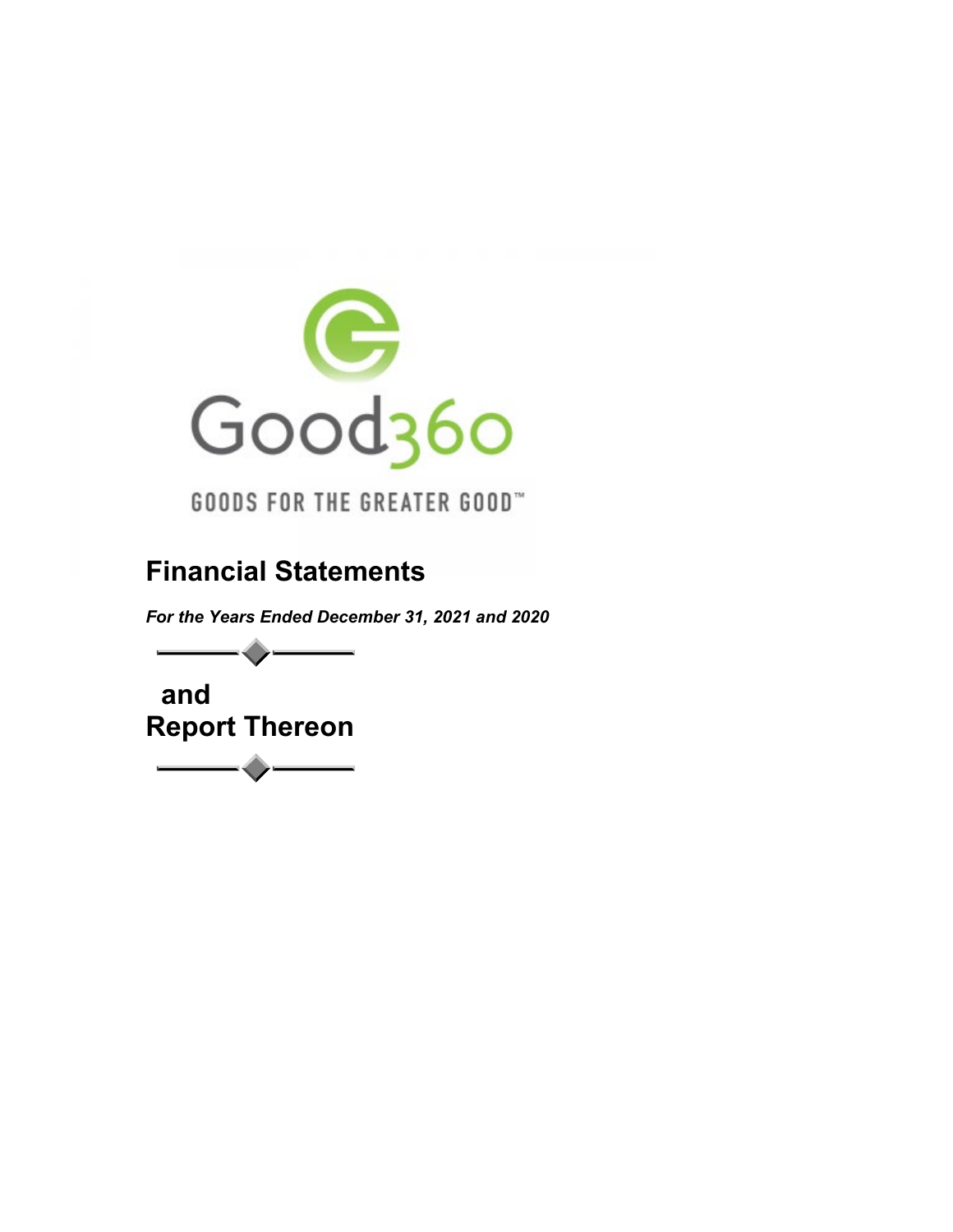

**GOODS FOR THE GREATER GOOD** 

# **Financial Statements**

*For the Years Ended December 31, 2021 and 2020*

 **and Report Thereon**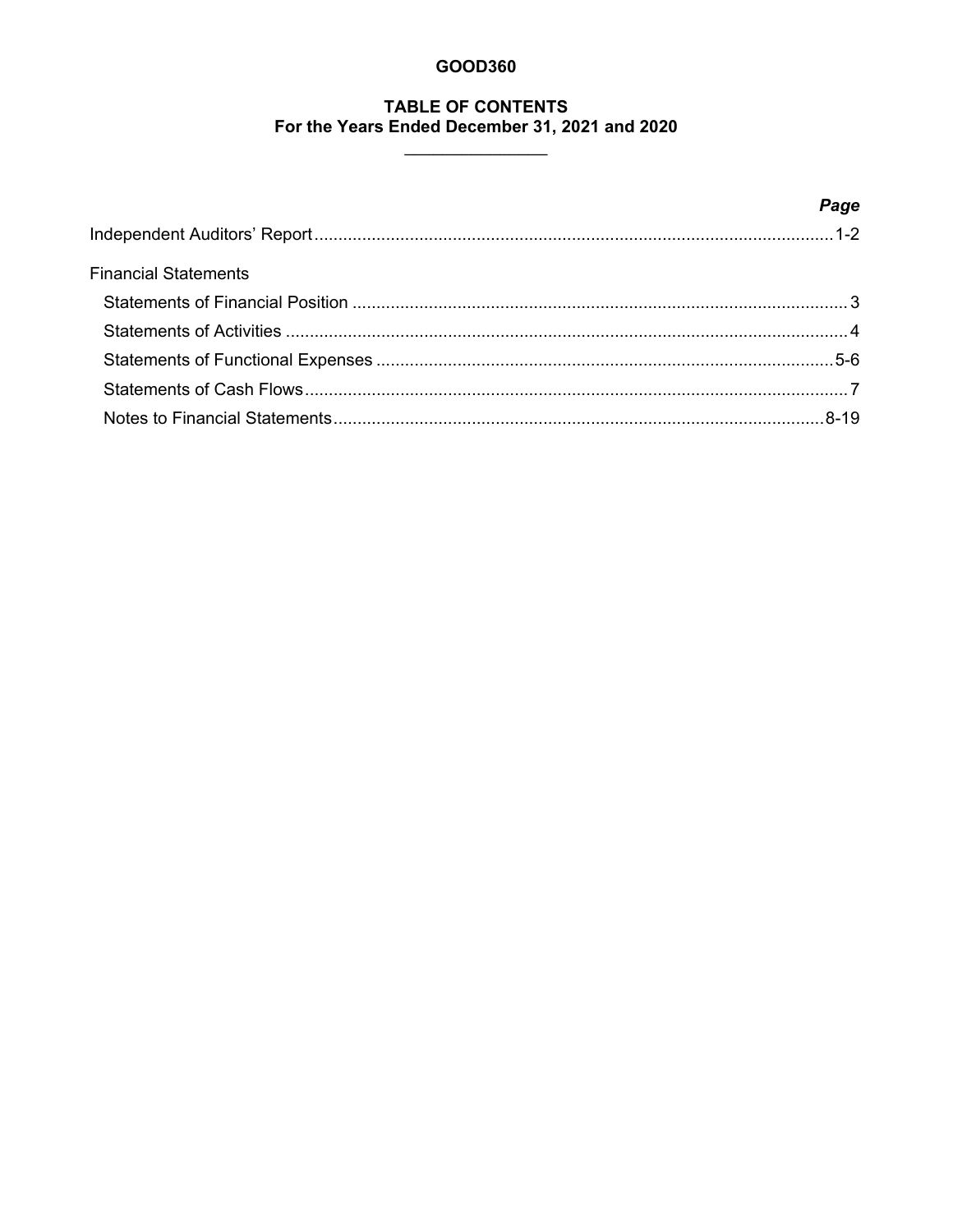# **TABLE OF CONTENTS** For the Years Ended December 31, 2021 and 2020

|                             | Page |
|-----------------------------|------|
|                             |      |
| <b>Financial Statements</b> |      |
|                             |      |
|                             |      |
|                             |      |
|                             |      |
|                             |      |
|                             |      |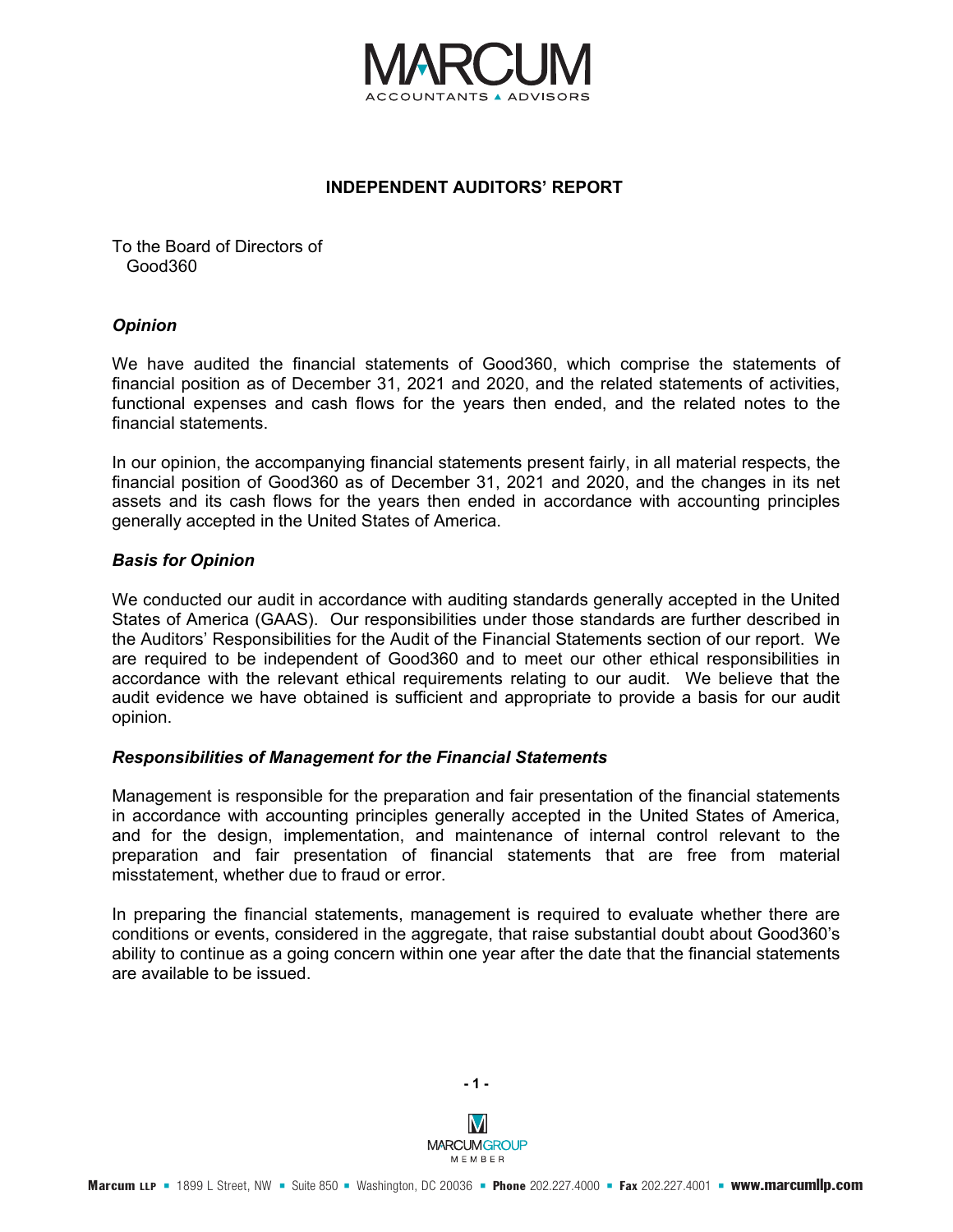

# **INDEPENDENT AUDITORS' REPORT**

To the Board of Directors of Good360

#### *Opinion*

We have audited the financial statements of Good360, which comprise the statements of financial position as of December 31, 2021 and 2020, and the related statements of activities, functional expenses and cash flows for the years then ended, and the related notes to the financial statements.

In our opinion, the accompanying financial statements present fairly, in all material respects, the financial position of Good360 as of December 31, 2021 and 2020, and the changes in its net assets and its cash flows for the years then ended in accordance with accounting principles generally accepted in the United States of America.

#### *Basis for Opinion*

We conducted our audit in accordance with auditing standards generally accepted in the United States of America (GAAS). Our responsibilities under those standards are further described in the Auditors' Responsibilities for the Audit of the Financial Statements section of our report. We are required to be independent of Good360 and to meet our other ethical responsibilities in accordance with the relevant ethical requirements relating to our audit. We believe that the audit evidence we have obtained is sufficient and appropriate to provide a basis for our audit opinion.

#### *Responsibilities of Management for the Financial Statements*

Management is responsible for the preparation and fair presentation of the financial statements in accordance with accounting principles generally accepted in the United States of America, and for the design, implementation, and maintenance of internal control relevant to the preparation and fair presentation of financial statements that are free from material misstatement, whether due to fraud or error.

In preparing the financial statements, management is required to evaluate whether there are conditions or events, considered in the aggregate, that raise substantial doubt about Good360's ability to continue as a going concern within one year after the date that the financial statements are available to be issued.



**- 1 -**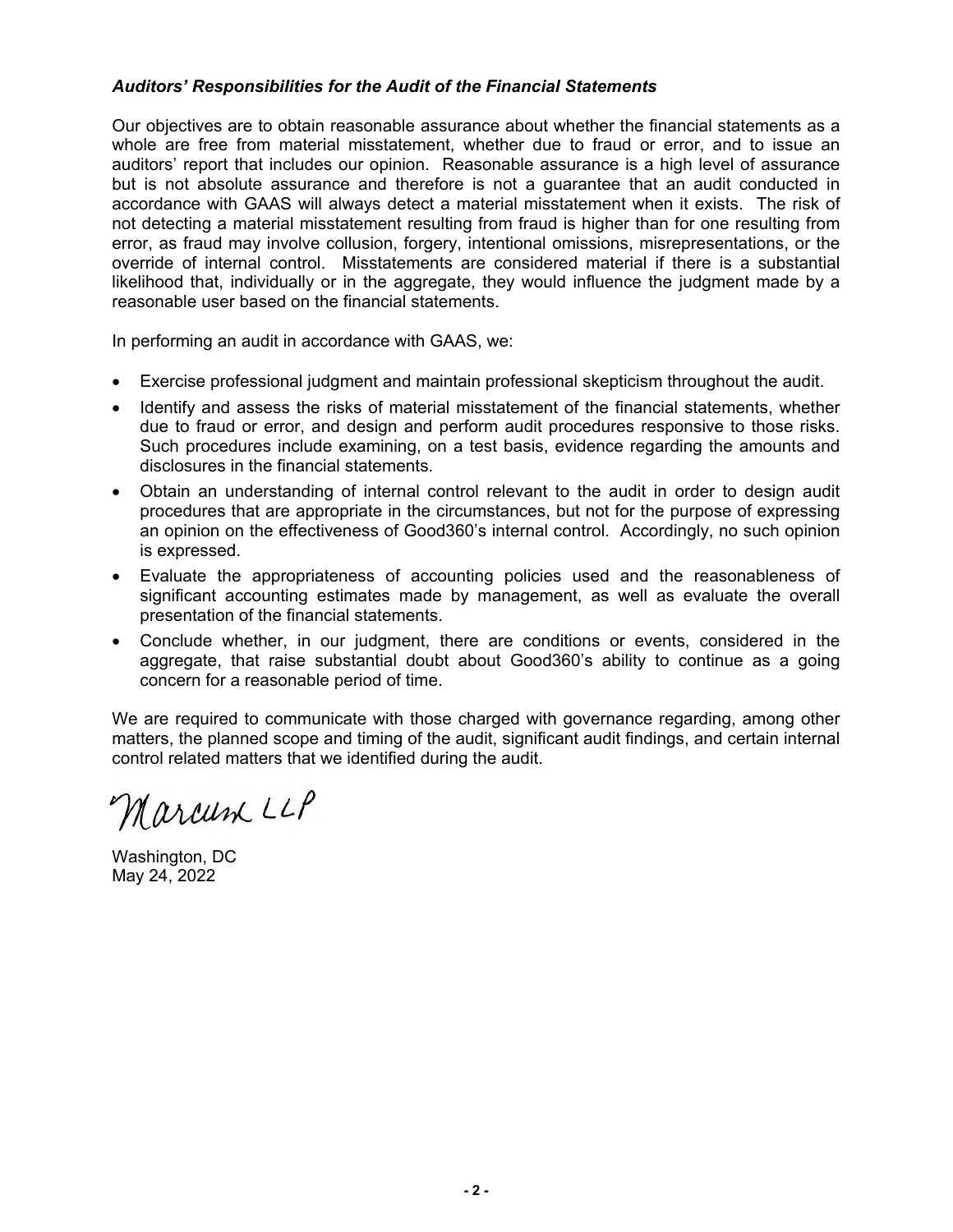# *Auditors' Responsibilities for the Audit of the Financial Statements*

Our objectives are to obtain reasonable assurance about whether the financial statements as a whole are free from material misstatement, whether due to fraud or error, and to issue an auditors' report that includes our opinion. Reasonable assurance is a high level of assurance but is not absolute assurance and therefore is not a guarantee that an audit conducted in accordance with GAAS will always detect a material misstatement when it exists. The risk of not detecting a material misstatement resulting from fraud is higher than for one resulting from error, as fraud may involve collusion, forgery, intentional omissions, misrepresentations, or the override of internal control. Misstatements are considered material if there is a substantial likelihood that, individually or in the aggregate, they would influence the judgment made by a reasonable user based on the financial statements.

In performing an audit in accordance with GAAS, we:

- Exercise professional judgment and maintain professional skepticism throughout the audit.
- Identify and assess the risks of material misstatement of the financial statements, whether due to fraud or error, and design and perform audit procedures responsive to those risks. Such procedures include examining, on a test basis, evidence regarding the amounts and disclosures in the financial statements.
- Obtain an understanding of internal control relevant to the audit in order to design audit procedures that are appropriate in the circumstances, but not for the purpose of expressing an opinion on the effectiveness of Good360's internal control. Accordingly, no such opinion is expressed.
- Evaluate the appropriateness of accounting policies used and the reasonableness of significant accounting estimates made by management, as well as evaluate the overall presentation of the financial statements.
- Conclude whether, in our judgment, there are conditions or events, considered in the aggregate, that raise substantial doubt about Good360's ability to continue as a going concern for a reasonable period of time.

We are required to communicate with those charged with governance regarding, among other matters, the planned scope and timing of the audit, significant audit findings, and certain internal control related matters that we identified during the audit.

Marcum LLP

Washington, DC May 24, 2022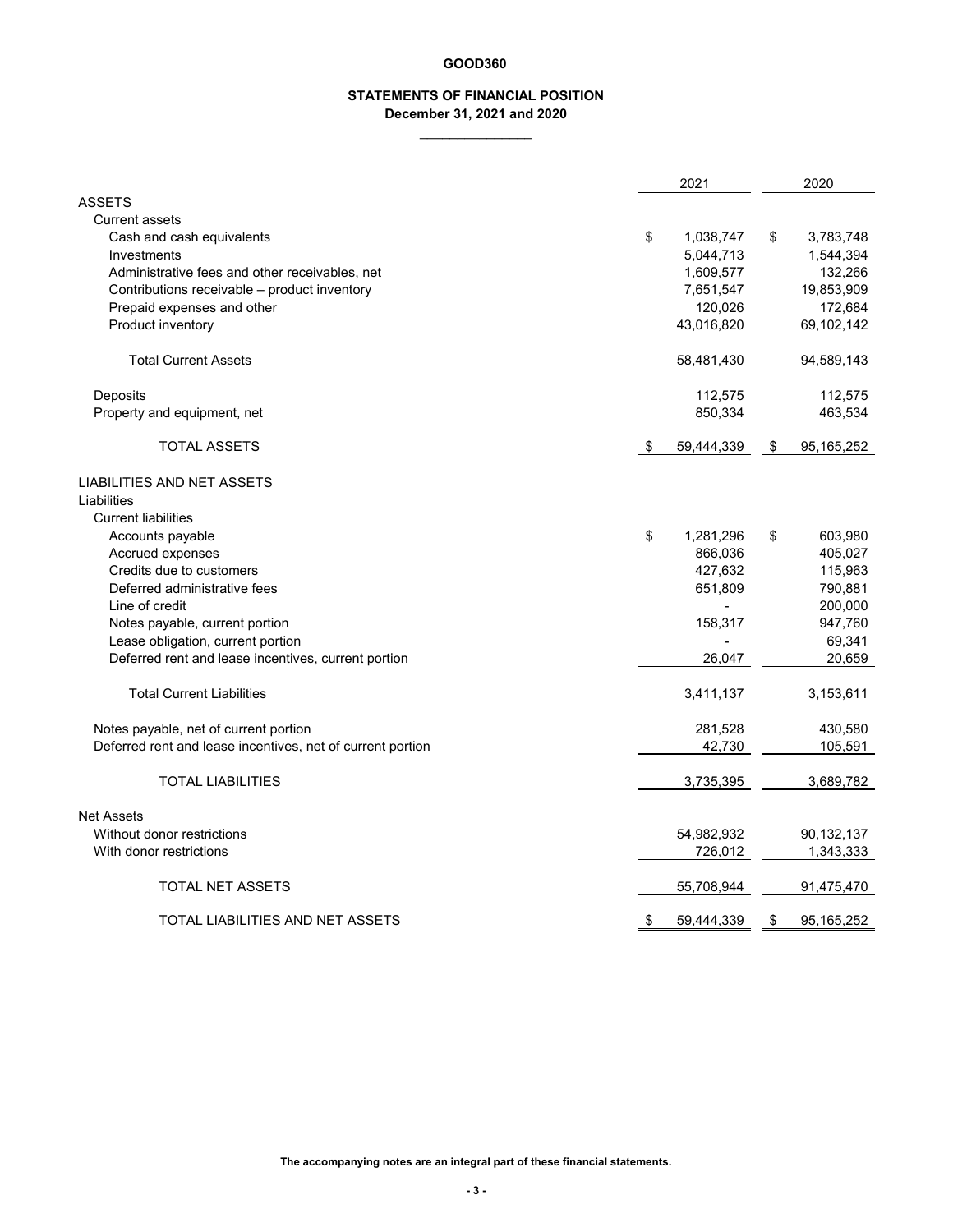# **STATEMENTS OF FINANCIAL POSITION December 31, 2021 and 2020**

\_\_\_\_\_\_\_\_\_\_\_\_\_\_\_

|                                                            | 2021            | 2020               |
|------------------------------------------------------------|-----------------|--------------------|
| <b>ASSETS</b>                                              |                 |                    |
| <b>Current assets</b>                                      |                 |                    |
| Cash and cash equivalents                                  | \$<br>1,038,747 | \$<br>3,783,748    |
| Investments                                                | 5,044,713       | 1,544,394          |
| Administrative fees and other receivables, net             | 1,609,577       | 132,266            |
| Contributions receivable – product inventory               | 7,651,547       | 19,853,909         |
| Prepaid expenses and other                                 | 120,026         | 172,684            |
| Product inventory                                          | 43,016,820      | 69, 102, 142       |
| <b>Total Current Assets</b>                                | 58,481,430      | 94,589,143         |
| Deposits                                                   | 112,575         | 112,575            |
| Property and equipment, net                                | 850,334         | 463,534            |
| <b>TOTAL ASSETS</b>                                        | 59,444,339      | \$<br>95, 165, 252 |
| <b>LIABILITIES AND NET ASSETS</b>                          |                 |                    |
| Liabilities                                                |                 |                    |
| <b>Current liabilities</b>                                 |                 |                    |
| Accounts payable                                           | \$<br>1,281,296 | \$<br>603,980      |
| Accrued expenses                                           | 866,036         | 405,027            |
| Credits due to customers                                   | 427,632         | 115,963            |
| Deferred administrative fees                               | 651,809         | 790,881            |
| Line of credit                                             |                 | 200,000            |
| Notes payable, current portion                             | 158,317         | 947,760            |
| Lease obligation, current portion                          |                 | 69,341             |
| Deferred rent and lease incentives, current portion        | 26,047          | 20,659             |
| <b>Total Current Liabilities</b>                           | 3,411,137       | 3,153,611          |
| Notes payable, net of current portion                      | 281,528         | 430,580            |
| Deferred rent and lease incentives, net of current portion | 42,730          | 105,591            |
| <b>TOTAL LIABILITIES</b>                                   | 3,735,395       | 3,689,782          |
|                                                            |                 |                    |
| <b>Net Assets</b><br>Without donor restrictions            |                 |                    |
|                                                            | 54,982,932      | 90, 132, 137       |
| With donor restrictions                                    | 726,012         | 1,343,333          |
| <b>TOTAL NET ASSETS</b>                                    | 55,708,944      | 91,475,470         |
| TOTAL LIABILITIES AND NET ASSETS                           | 59,444,339      | \$<br>95,165,252   |

**The accompanying notes are an integral part of these financial statements.**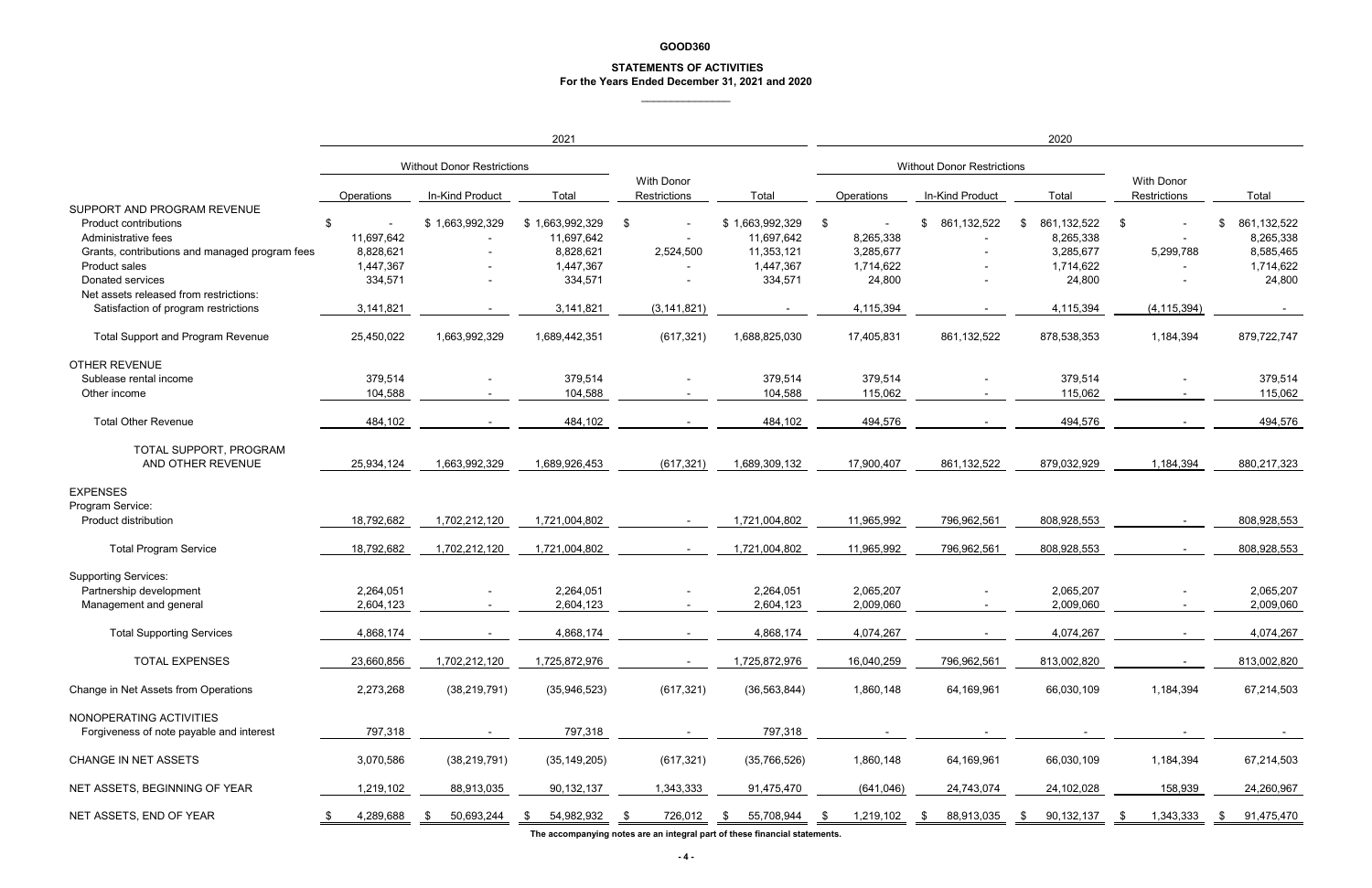**The accompanying notes are an integral part of these financial statements.**

|                                                |                                   |                  | 2021             |                                   |                    |                                   |                    | 2020              |                                   |                    |  |
|------------------------------------------------|-----------------------------------|------------------|------------------|-----------------------------------|--------------------|-----------------------------------|--------------------|-------------------|-----------------------------------|--------------------|--|
|                                                | <b>Without Donor Restrictions</b> |                  |                  |                                   |                    | <b>Without Donor Restrictions</b> |                    |                   |                                   |                    |  |
|                                                | Operations                        | In-Kind Product  | Total            | <b>With Donor</b><br>Restrictions | Total              | Operations                        | In-Kind Product    | Total             | <b>With Donor</b><br>Restrictions | Total              |  |
| SUPPORT AND PROGRAM REVENUE                    |                                   |                  |                  |                                   |                    |                                   |                    |                   |                                   |                    |  |
| <b>Product contributions</b>                   |                                   | \$1,663,992,329  | \$1,663,992,329  | \$<br>$\sim$                      | \$1,663,992,329    | -\$                               | 861,132,522<br>\$  | 861,132,522<br>\$ | \$                                | 861,132,522        |  |
| Administrative fees                            | 11,697,642                        | $\sim$           | 11,697,642       |                                   | 11,697,642         | 8,265,338                         |                    | 8,265,338         |                                   | 8,265,338          |  |
| Grants, contributions and managed program fees | 8,828,621                         | $\sim$           | 8,828,621        | 2,524,500                         | 11,353,121         | 3,285,677                         |                    | 3,285,677         | 5,299,788                         | 8,585,465          |  |
| Product sales                                  | 1,447,367                         | $\sim$           | 1,447,367        |                                   | 1,447,367          | 1,714,622                         |                    | 1,714,622         |                                   | 1,714,622          |  |
| <b>Donated services</b>                        | 334,571                           |                  | 334,571          |                                   | 334,571            | 24,800                            |                    | 24,800            |                                   | 24,800             |  |
| Net assets released from restrictions:         |                                   |                  |                  |                                   |                    |                                   |                    |                   |                                   |                    |  |
| Satisfaction of program restrictions           | 3,141,821                         |                  | 3,141,821        | (3, 141, 821)                     |                    | 4,115,394                         |                    | 4,115,394         | (4, 115, 394)                     |                    |  |
| <b>Total Support and Program Revenue</b>       | 25,450,022                        | 1,663,992,329    | 1,689,442,351    | (617, 321)                        | 1,688,825,030      | 17,405,831                        | 861,132,522        | 878,538,353       | 1,184,394                         | 879,722,747        |  |
| <b>OTHER REVENUE</b>                           |                                   |                  |                  |                                   |                    |                                   |                    |                   |                                   |                    |  |
| Sublease rental income                         | 379,514                           |                  | 379,514          |                                   | 379,514            | 379,514                           |                    | 379,514           |                                   | 379,514            |  |
| Other income                                   | 104,588                           |                  | 104,588          |                                   | 104,588            | 115,062                           |                    | 115,062           |                                   | 115,062            |  |
| <b>Total Other Revenue</b>                     | 484,102                           |                  | 484,102          |                                   | 484,102            | 494,576                           |                    | 494,576           |                                   | 494,576            |  |
| TOTAL SUPPORT, PROGRAM                         |                                   |                  |                  |                                   |                    |                                   |                    |                   |                                   |                    |  |
| AND OTHER REVENUE                              | 25,934,124                        | 1,663,992,329    | 1,689,926,453    | (617, 321)                        | 1,689,309,132      | 17,900,407                        | 861, 132, 522      | 879,032,929       | 1,184,394                         | 880,217,323        |  |
| <b>EXPENSES</b>                                |                                   |                  |                  |                                   |                    |                                   |                    |                   |                                   |                    |  |
| Program Service:                               |                                   |                  |                  |                                   |                    |                                   |                    |                   |                                   |                    |  |
| <b>Product distribution</b>                    | 18,792,682                        | 1,702,212,120    | 1,721,004,802    |                                   | 1,721,004,802      | 11,965,992                        | 796,962,561        | 808,928,553       |                                   | 808,928,553        |  |
| <b>Total Program Service</b>                   | 18,792,682                        | 1,702,212,120    | 1,721,004,802    |                                   | 1,721,004,802      | 11,965,992                        | 796,962,561        | 808,928,553       |                                   | 808,928,553        |  |
| <b>Supporting Services:</b>                    |                                   |                  |                  |                                   |                    |                                   |                    |                   |                                   |                    |  |
| Partnership development                        | 2,264,051                         |                  | 2,264,051        |                                   | 2,264,051          | 2,065,207                         |                    | 2,065,207         |                                   | 2,065,207          |  |
| Management and general                         | 2,604,123                         | $\sim$           | 2,604,123        | $\sim$                            | 2,604,123          | 2,009,060                         |                    | 2,009,060         | $\sim$                            | 2,009,060          |  |
| <b>Total Supporting Services</b>               | 4,868,174                         | $\sim$           | 4,868,174        | $\sim$                            | 4,868,174          | 4,074,267                         |                    | 4,074,267         | $\sim$                            | 4,074,267          |  |
| <b>TOTAL EXPENSES</b>                          | 23,660,856                        | 1,702,212,120    | 1,725,872,976    |                                   | 1,725,872,976      | 16,040,259                        | 796,962,561        | 813,002,820       |                                   | 813,002,820        |  |
| Change in Net Assets from Operations           | 2,273,268                         | (38, 219, 791)   | (35,946,523)     | (617, 321)                        | (36, 563, 844)     | 1,860,148                         | 64,169,961         | 66,030,109        | 1,184,394                         | 67,214,503         |  |
| NONOPERATING ACTIVITIES                        |                                   |                  |                  |                                   |                    |                                   |                    |                   |                                   |                    |  |
| Forgiveness of note payable and interest       | 797,318                           |                  | 797,318          |                                   | 797,318            |                                   |                    |                   |                                   |                    |  |
| <b>CHANGE IN NET ASSETS</b>                    | 3,070,586                         | (38, 219, 791)   | (35, 149, 205)   | (617, 321)                        | (35,766,526)       | 1,860,148                         | 64,169,961         | 66,030,109        | 1,184,394                         | 67,214,503         |  |
| NET ASSETS, BEGINNING OF YEAR                  | 1,219,102                         | 88,913,035       | 90,132,137       | 1,343,333                         | 91,475,470         | (641, 046)                        | 24,743,074         | 24,102,028        | 158,939                           | 24,260,967         |  |
| NET ASSETS, END OF YEAR                        | 4,289,688                         | 50,693,244<br>\$ | 54,982,932<br>S. | 726,012                           | 55,708,944<br>- \$ | 1,219,102                         | 88,913,035<br>- \$ | 90,132,137<br>\$  | 1,343,333                         | 91,475,470<br>- 56 |  |

# **STATEMENTS OF ACTIVITIES For the Years Ended December 31, 2021 and 2020**

\_\_\_\_\_\_\_\_\_\_\_\_\_\_\_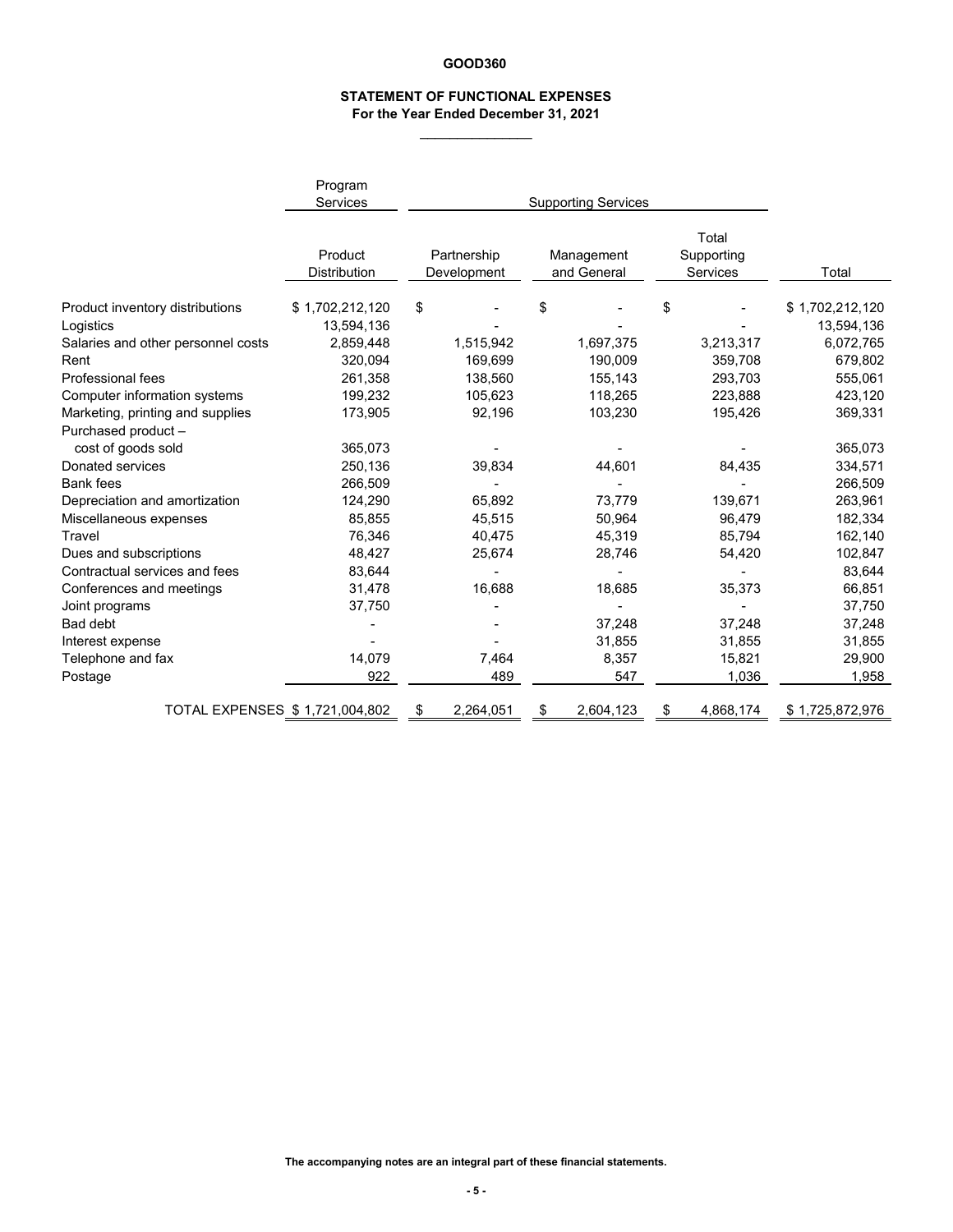#### **STATEMENT OF FUNCTIONAL EXPENSES For the Year Ended December 31, 2021**  $\overline{\phantom{a}}$

|                                    | Program<br>Services     | <b>Supporting Services</b> |                            |    |                           |                                 |                 |
|------------------------------------|-------------------------|----------------------------|----------------------------|----|---------------------------|---------------------------------|-----------------|
|                                    | Product<br>Distribution |                            | Partnership<br>Development |    | Management<br>and General | Total<br>Supporting<br>Services | Total           |
| Product inventory distributions    | \$1,702,212,120         | \$                         |                            | \$ |                           | \$                              | \$1,702,212,120 |
| Logistics                          | 13,594,136              |                            |                            |    |                           |                                 | 13,594,136      |
| Salaries and other personnel costs | 2,859,448               |                            | 1,515,942                  |    | 1,697,375                 | 3,213,317                       | 6,072,765       |
| Rent                               | 320,094                 |                            | 169,699                    |    | 190,009                   | 359,708                         | 679,802         |
| <b>Professional fees</b>           | 261,358                 |                            | 138,560                    |    | 155,143                   | 293,703                         | 555,061         |
| Computer information systems       | 199,232                 |                            | 105,623                    |    | 118,265                   | 223,888                         | 423,120         |
| Marketing, printing and supplies   | 173,905                 |                            | 92,196                     |    | 103,230                   | 195,426                         | 369,331         |
| Purchased product -                |                         |                            |                            |    |                           |                                 |                 |
| cost of goods sold                 | 365,073                 |                            |                            |    |                           |                                 | 365,073         |
| <b>Donated services</b>            | 250,136                 |                            | 39,834                     |    | 44,601                    | 84,435                          | 334,571         |
| Bank fees                          | 266,509                 |                            |                            |    |                           |                                 | 266,509         |
| Depreciation and amortization      | 124,290                 |                            | 65,892                     |    | 73,779                    | 139,671                         | 263,961         |
| Miscellaneous expenses             | 85,855                  |                            | 45,515                     |    | 50,964                    | 96,479                          | 182,334         |
| Travel                             | 76,346                  |                            | 40,475                     |    | 45,319                    | 85,794                          | 162,140         |
| Dues and subscriptions             | 48,427                  |                            | 25,674                     |    | 28,746                    | 54,420                          | 102,847         |
| Contractual services and fees      | 83,644                  |                            |                            |    |                           |                                 | 83,644          |
| Conferences and meetings           | 31,478                  |                            | 16,688                     |    | 18,685                    | 35,373                          | 66,851          |
| Joint programs                     | 37,750                  |                            |                            |    |                           |                                 | 37,750          |
| Bad debt                           |                         |                            |                            |    | 37,248                    | 37,248                          | 37,248          |
| Interest expense                   |                         |                            |                            |    | 31,855                    | 31,855                          | 31,855          |
| Telephone and fax                  | 14,079                  |                            | 7,464                      |    | 8,357                     | 15,821                          | 29,900          |
| Postage                            | 922                     |                            | 489                        |    | 547                       | 1,036                           | 1,958           |
| TOTAL EXPENSES \$1,721,004,802     |                         | \$                         | 2,264,051                  | \$ | 2,604,123                 | \$<br>4,868,174                 | \$1,725,872,976 |

**The accompanying notes are an integral part of these financial statements.**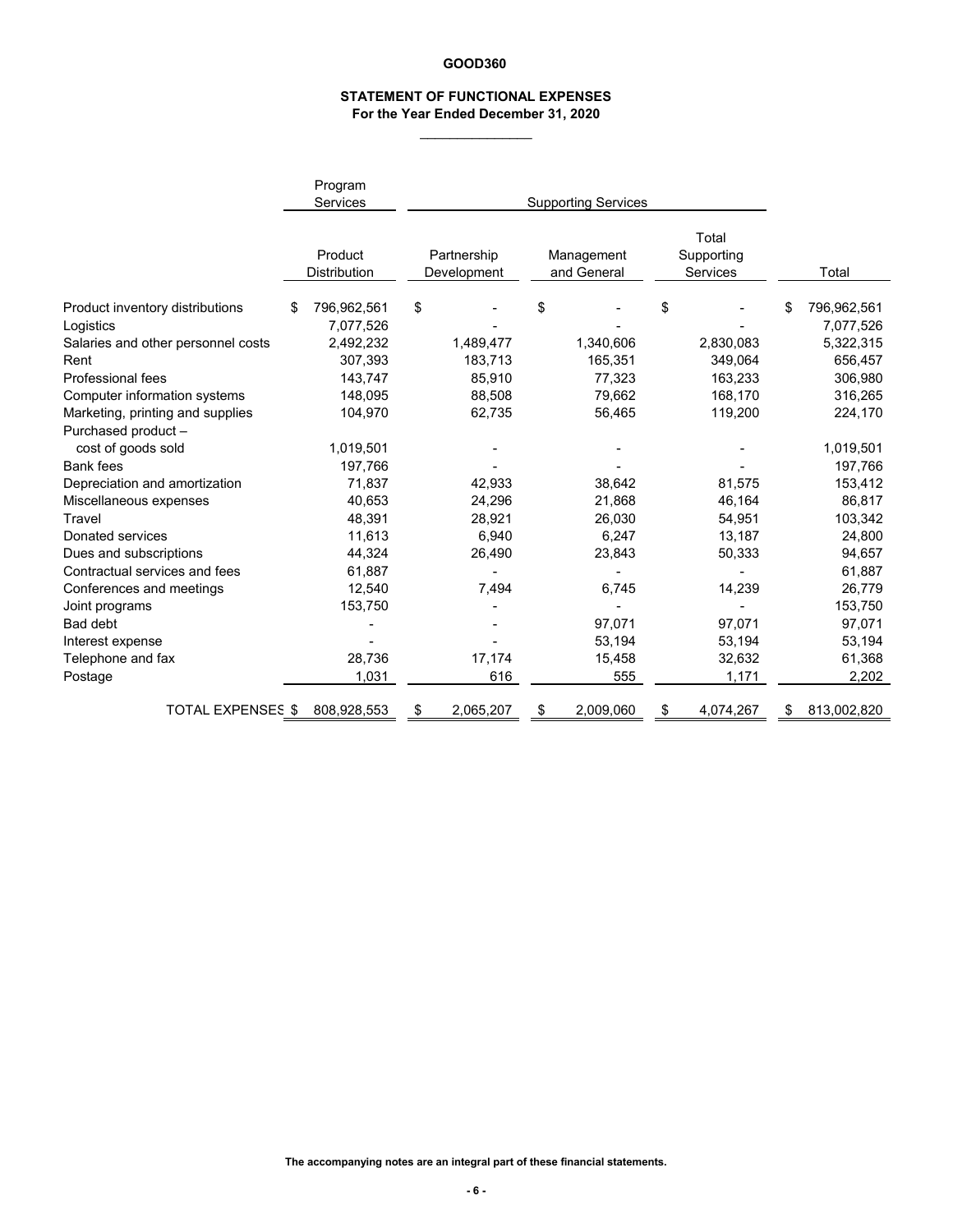#### **STATEMENT OF FUNCTIONAL EXPENSES For the Year Ended December 31, 2020**  $\overline{\phantom{a}}$

|                                    | Program<br>Services     |                            | <b>Supporting Services</b> |                                 |                   |
|------------------------------------|-------------------------|----------------------------|----------------------------|---------------------------------|-------------------|
|                                    | Product<br>Distribution | Partnership<br>Development | Management<br>and General  | Total<br>Supporting<br>Services | Total             |
| Product inventory distributions    | 796,962,561<br>\$       | \$                         | \$                         | \$                              | 796,962,561<br>\$ |
| Logistics                          | 7,077,526               |                            |                            |                                 | 7,077,526         |
| Salaries and other personnel costs | 2,492,232               | 1,489,477                  | 1,340,606                  | 2,830,083                       | 5,322,315         |
| Rent                               | 307,393                 | 183,713                    | 165,351                    | 349,064                         | 656,457           |
| <b>Professional fees</b>           | 143,747                 | 85,910                     | 77,323                     | 163,233                         | 306,980           |
| Computer information systems       | 148,095                 | 88,508                     | 79,662                     | 168,170                         | 316,265           |
| Marketing, printing and supplies   | 104,970                 | 62,735                     | 56,465                     | 119,200                         | 224,170           |
| Purchased product-                 |                         |                            |                            |                                 |                   |
| cost of goods sold                 | 1,019,501               |                            |                            |                                 | 1,019,501         |
| Bank fees                          | 197,766                 |                            |                            |                                 | 197,766           |
| Depreciation and amortization      | 71,837                  | 42,933                     | 38,642                     | 81,575                          | 153,412           |
| Miscellaneous expenses             | 40,653                  | 24,296                     | 21,868                     | 46,164                          | 86,817            |
| Travel                             | 48,391                  | 28,921                     | 26,030                     | 54,951                          | 103,342           |
| Donated services                   | 11,613                  | 6,940                      | 6,247                      | 13,187                          | 24,800            |
| Dues and subscriptions             | 44,324                  | 26,490                     | 23,843                     | 50,333                          | 94,657            |
| Contractual services and fees      | 61,887                  |                            |                            |                                 | 61,887            |
| Conferences and meetings           | 12,540                  | 7,494                      | 6,745                      | 14,239                          | 26,779            |
| Joint programs                     | 153,750                 |                            |                            |                                 | 153,750           |
| Bad debt                           |                         |                            | 97,071                     | 97,071                          | 97,071            |
| Interest expense                   |                         |                            | 53,194                     | 53,194                          | 53,194            |
| Telephone and fax                  | 28,736                  | 17,174                     | 15,458                     | 32,632                          | 61,368            |
| Postage                            | 1,031                   | 616                        | 555                        | 1,171                           | 2,202             |
| <b>TOTAL EXPENSES \$</b>           | 808,928,553             | 2,065,207<br>S.            | 2,009,060<br>\$            | 4,074,267<br>S                  | 813,002,820<br>\$ |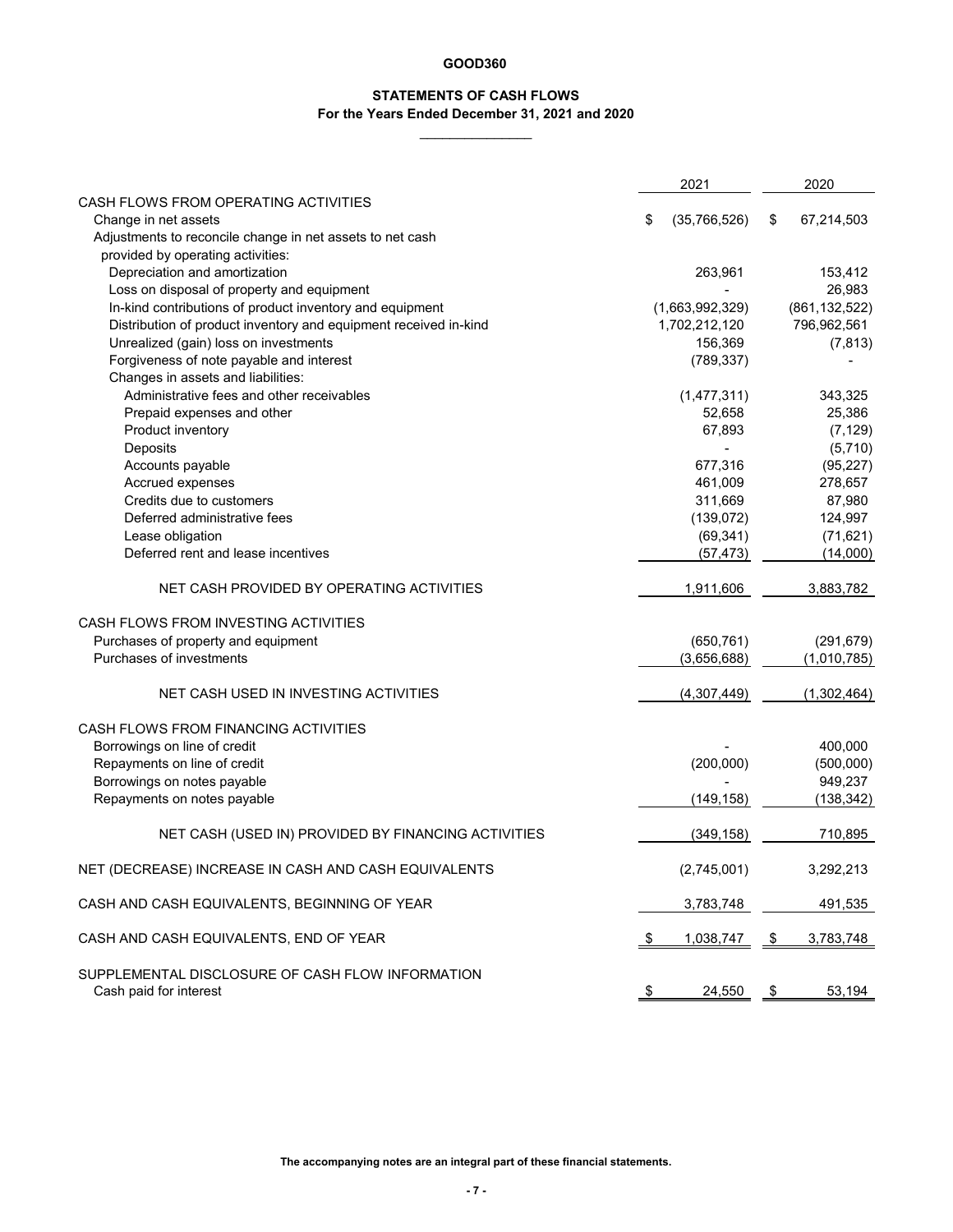# **STATEMENTS OF CASH FLOWS For the Years Ended December 31, 2021 and 2020**

\_\_\_\_\_\_\_\_\_\_\_\_\_\_\_

|                                                                            |    | 2021            | 2020             |
|----------------------------------------------------------------------------|----|-----------------|------------------|
| CASH FLOWS FROM OPERATING ACTIVITIES                                       |    |                 |                  |
| Change in net assets                                                       | \$ | (35,766,526)    | \$<br>67,214,503 |
| Adjustments to reconcile change in net assets to net cash                  |    |                 |                  |
| provided by operating activities:                                          |    |                 |                  |
| Depreciation and amortization                                              |    | 263,961         | 153,412          |
| Loss on disposal of property and equipment                                 |    |                 | 26,983           |
| In-kind contributions of product inventory and equipment                   |    | (1,663,992,329) | (861, 132, 522)  |
| Distribution of product inventory and equipment received in-kind           |    | 1,702,212,120   | 796,962,561      |
| Unrealized (gain) loss on investments                                      |    | 156,369         | (7, 813)         |
| Forgiveness of note payable and interest                                   |    | (789, 337)      |                  |
| Changes in assets and liabilities:                                         |    |                 |                  |
| Administrative fees and other receivables                                  |    | (1,477,311)     | 343,325          |
| Prepaid expenses and other                                                 |    | 52,658          | 25,386           |
| Product inventory                                                          |    | 67,893          | (7, 129)         |
| Deposits                                                                   |    |                 | (5,710)          |
| Accounts payable                                                           |    | 677,316         | (95, 227)        |
| Accrued expenses                                                           |    | 461,009         | 278,657          |
| Credits due to customers                                                   |    | 311,669         | 87,980           |
| Deferred administrative fees                                               |    | (139,072)       | 124,997          |
| Lease obligation                                                           |    | (69, 341)       | (71, 621)        |
| Deferred rent and lease incentives                                         |    | (57, 473)       | (14,000)         |
|                                                                            |    |                 |                  |
| NET CASH PROVIDED BY OPERATING ACTIVITIES                                  |    | 1,911,606       | 3,883,782        |
| CASH FLOWS FROM INVESTING ACTIVITIES                                       |    |                 |                  |
| Purchases of property and equipment                                        |    | (650, 761)      | (291, 679)       |
| Purchases of investments                                                   |    | (3,656,688)     | (1,010,785)      |
|                                                                            |    |                 |                  |
| NET CASH USED IN INVESTING ACTIVITIES                                      |    | (4,307,449)     | (1,302,464)      |
| CASH FLOWS FROM FINANCING ACTIVITIES                                       |    |                 |                  |
| Borrowings on line of credit                                               |    |                 | 400,000          |
| Repayments on line of credit                                               |    | (200,000)       | (500,000)        |
| Borrowings on notes payable                                                |    |                 | 949,237          |
| Repayments on notes payable                                                |    | (149, 158)      | (138, 342)       |
| NET CASH (USED IN) PROVIDED BY FINANCING ACTIVITIES                        |    | (349, 158)      | 710,895          |
| NET (DECREASE) INCREASE IN CASH AND CASH EQUIVALENTS                       |    | (2,745,001)     | 3,292,213        |
| CASH AND CASH EQUIVALENTS, BEGINNING OF YEAR                               |    | 3,783,748       | 491,535          |
| CASH AND CASH EQUIVALENTS, END OF YEAR                                     | 8  | 1,038,747       | \$<br>3,783,748  |
| SUPPLEMENTAL DISCLOSURE OF CASH FLOW INFORMATION<br>Cash paid for interest | \$ | 24,550          | \$<br>53,194     |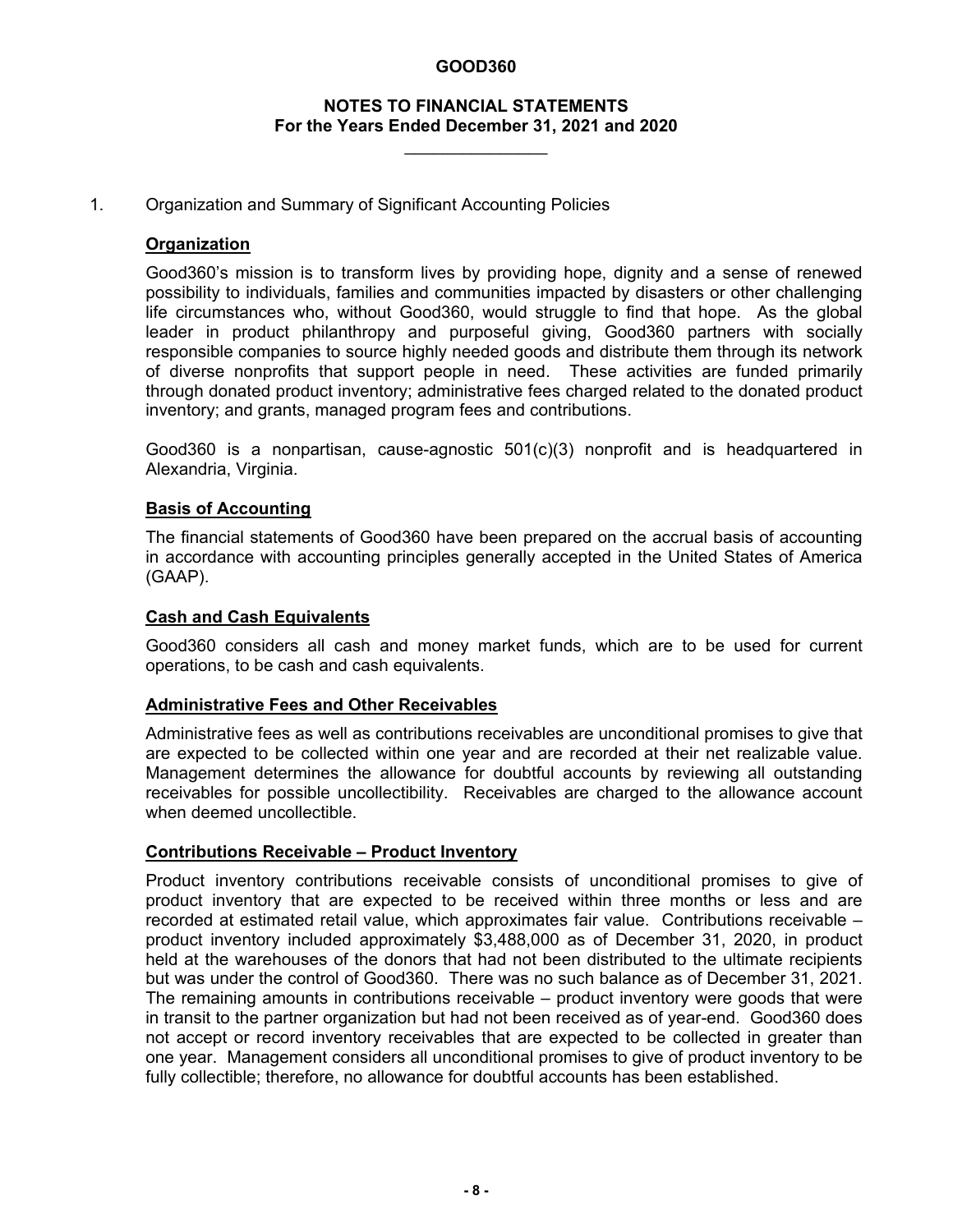# **NOTES TO FINANCIAL STATEMENTS For the Years Ended December 31, 2021 and 2020**  $\frac{1}{2}$

#### 1. Organization and Summary of Significant Accounting Policies

# **Organization**

Good360's mission is to transform lives by providing hope, dignity and a sense of renewed possibility to individuals, families and communities impacted by disasters or other challenging life circumstances who, without Good360, would struggle to find that hope. As the global leader in product philanthropy and purposeful giving, Good360 partners with socially responsible companies to source highly needed goods and distribute them through its network of diverse nonprofits that support people in need. These activities are funded primarily through donated product inventory; administrative fees charged related to the donated product inventory; and grants, managed program fees and contributions.

Good360 is a nonpartisan, cause-agnostic 501(c)(3) nonprofit and is headquartered in Alexandria, Virginia.

# **Basis of Accounting**

The financial statements of Good360 have been prepared on the accrual basis of accounting in accordance with accounting principles generally accepted in the United States of America (GAAP).

#### **Cash and Cash Equivalents**

Good360 considers all cash and money market funds, which are to be used for current operations, to be cash and cash equivalents.

#### **Administrative Fees and Other Receivables**

Administrative fees as well as contributions receivables are unconditional promises to give that are expected to be collected within one year and are recorded at their net realizable value. Management determines the allowance for doubtful accounts by reviewing all outstanding receivables for possible uncollectibility. Receivables are charged to the allowance account when deemed uncollectible.

#### **Contributions Receivable – Product Inventory**

Product inventory contributions receivable consists of unconditional promises to give of product inventory that are expected to be received within three months or less and are recorded at estimated retail value, which approximates fair value. Contributions receivable – product inventory included approximately \$3,488,000 as of December 31, 2020, in product held at the warehouses of the donors that had not been distributed to the ultimate recipients but was under the control of Good360. There was no such balance as of December 31, 2021. The remaining amounts in contributions receivable – product inventory were goods that were in transit to the partner organization but had not been received as of year-end. Good360 does not accept or record inventory receivables that are expected to be collected in greater than one year. Management considers all unconditional promises to give of product inventory to be fully collectible; therefore, no allowance for doubtful accounts has been established.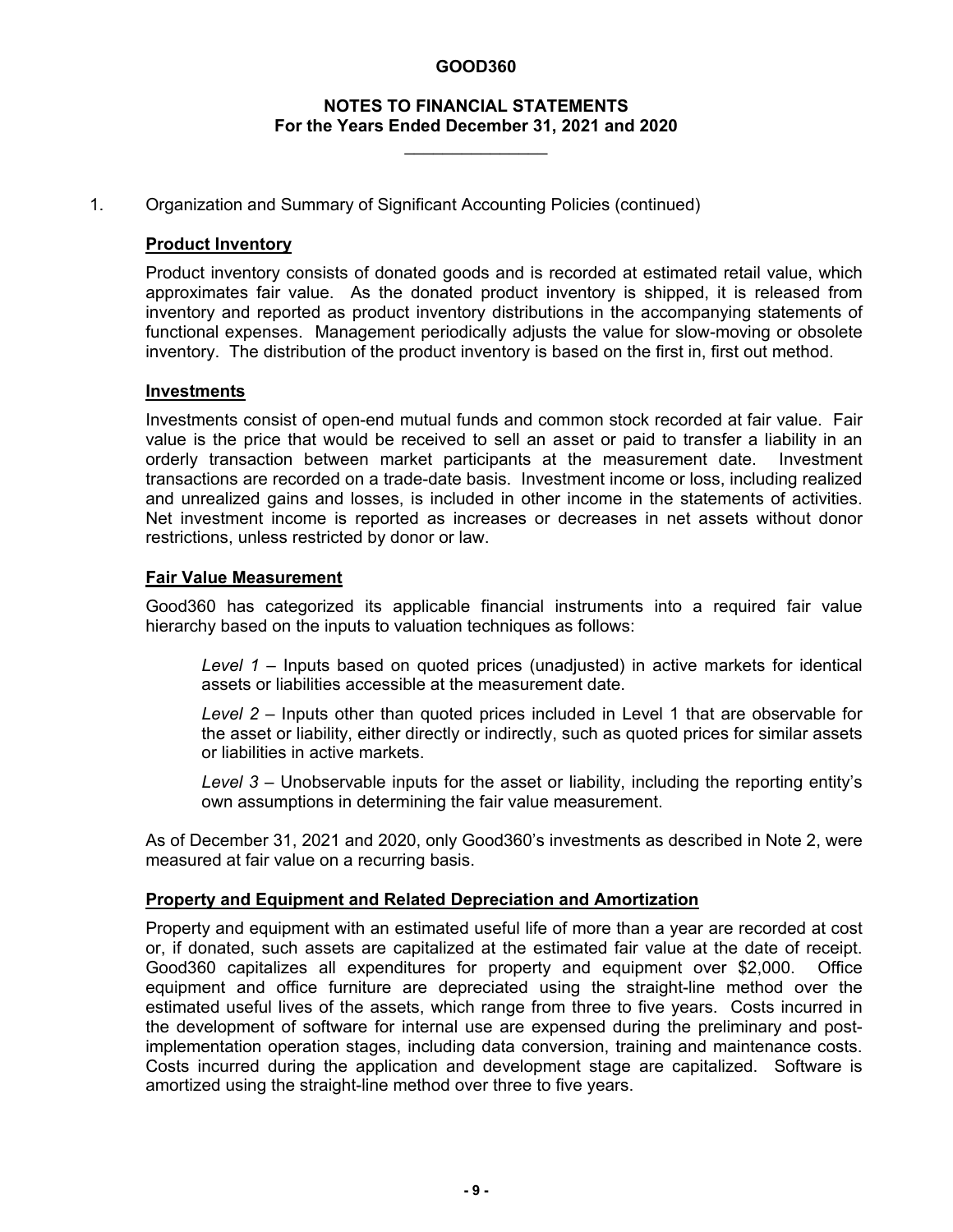# **NOTES TO FINANCIAL STATEMENTS For the Years Ended December 31, 2021 and 2020**  $\frac{1}{2}$

1. Organization and Summary of Significant Accounting Policies (continued)

# **Product Inventory**

Product inventory consists of donated goods and is recorded at estimated retail value, which approximates fair value. As the donated product inventory is shipped, it is released from inventory and reported as product inventory distributions in the accompanying statements of functional expenses. Management periodically adjusts the value for slow-moving or obsolete inventory. The distribution of the product inventory is based on the first in, first out method.

#### **Investments**

Investments consist of open-end mutual funds and common stock recorded at fair value. Fair value is the price that would be received to sell an asset or paid to transfer a liability in an orderly transaction between market participants at the measurement date. Investment transactions are recorded on a trade-date basis. Investment income or loss, including realized and unrealized gains and losses, is included in other income in the statements of [activities.](http://activities.net/) [Net](http://activities.net/) investment income is reported as increases or decreases in net assets without donor restrictions, unless restricted by donor or law.

# **Fair Value Measurement**

Good360 has categorized its applicable financial instruments into a required fair value hierarchy based on the inputs to valuation techniques as follows:

*Level 1* – Inputs based on quoted prices (unadjusted) in active markets for identical assets or liabilities accessible at the measurement date.

*Level 2* – Inputs other than quoted prices included in Level 1 that are observable for the asset or liability, either directly or indirectly, such as quoted prices for similar assets or liabilities in active markets.

*Level 3* – Unobservable inputs for the asset or liability, including the reporting entity's own assumptions in determining the fair value measurement.

As of December 31, 2021 and 2020, only Good360's investments as described in Note 2, were measured at fair value on a recurring basis.

#### **Property and Equipment and Related Depreciation and Amortization**

Property and equipment with an estimated useful life of more than a year are recorded at cost or, if donated, such assets are capitalized at the estimated fair value at the date of receipt. Good360 capitalizes all expenditures for property and equipment over \$2,000. Office equipment and office furniture are depreciated using the straight-line method over the estimated useful lives of the assets, which range from three to five years. Costs incurred in the development of software for internal use are expensed during the preliminary and postimplementation operation stages, including data conversion, training and maintenance costs. Costs incurred during the application and development stage are capitalized. Software is amortized using the straight-line method over three to five years.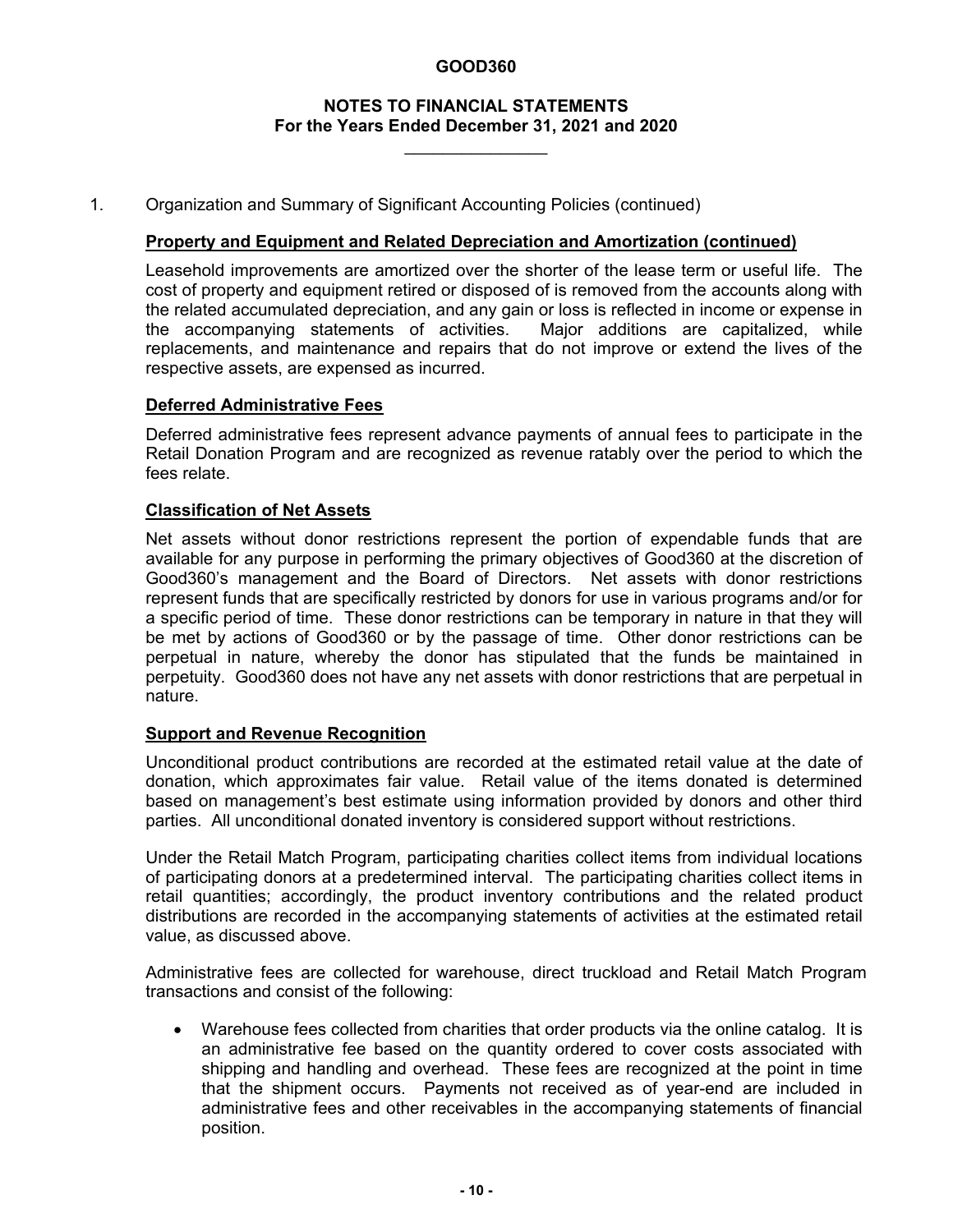# **NOTES TO FINANCIAL STATEMENTS For the Years Ended December 31, 2021 and 2020**  $\frac{1}{2}$

1. Organization and Summary of Significant Accounting Policies (continued)

# **Property and Equipment and Related Depreciation and Amortization (continued)**

Leasehold improvements are amortized over the shorter of the lease term or useful life. The cost of property and equipment retired or disposed of is removed from the accounts along with the related accumulated depreciation, and any gain or loss is reflected in income or expense in the accompanying statements of activities. Major additions are capitalized, while replacements, and maintenance and repairs that do not improve or extend the lives of the respective assets, are expensed as incurred.

# **Deferred Administrative Fees**

Deferred administrative fees represent advance payments of annual fees to participate in the Retail Donation Program and are recognized as revenue ratably over the period to which the fees relate.

#### **Classification of Net Assets**

Net assets without donor restrictions represent the portion of expendable funds that are available for any purpose in performing the primary objectives of Good360 at the discretion of Good360's management and the Board of Directors. Net assets with donor restrictions represent funds that are specifically restricted by donors for use in various programs and/or for a specific period of time. These donor restrictions can be temporary in nature in that they will be met by actions of Good360 or by the passage of time. Other donor restrictions can be perpetual in nature, whereby the donor has stipulated that the funds be maintained in perpetuity. Good360 does not have any net assets with donor restrictions that are perpetual in nature.

#### **Support and Revenue Recognition**

Unconditional product contributions are recorded at the estimated retail value at the date of donation, which approximates fair value. Retail value of the items donated is determined based on management's best estimate using information provided by donors and other third parties. All unconditional donated inventory is considered support without restrictions.

Under the Retail Match Program, participating charities collect items from individual locations of participating donors at a predetermined interval. The participating charities collect items in retail quantities; accordingly, the product inventory contributions and the related product distributions are recorded in the accompanying statements of activities at the estimated retail value, as discussed above.

Administrative fees are collected for warehouse, direct truckload and Retail Match Program transactions and consist of the following:

• Warehouse fees collected from charities that order products via the online catalog. It is an administrative fee based on the quantity ordered to cover costs associated with shipping and handling and overhead. These fees are recognized at the point in time that the shipment occurs. Payments not received as of year-end are included in administrative fees and other receivables in the accompanying statements of financial position.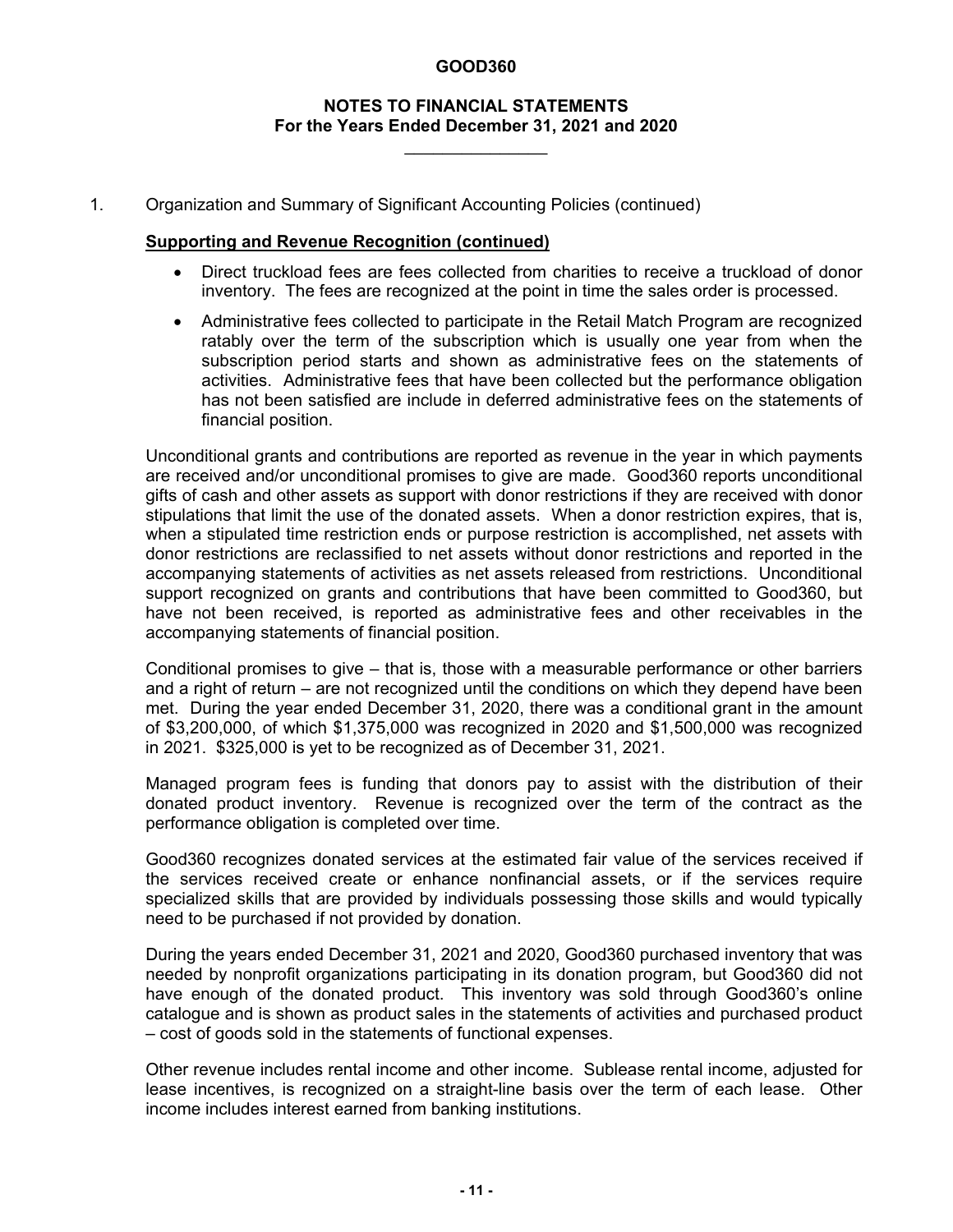# **NOTES TO FINANCIAL STATEMENTS For the Years Ended December 31, 2021 and 2020**  $\frac{1}{2}$

1. Organization and Summary of Significant Accounting Policies (continued)

#### **Supporting and Revenue Recognition (continued)**

- Direct truckload fees are fees collected from charities to receive a truckload of donor inventory. The fees are recognized at the point in time the sales order is processed.
- Administrative fees collected to participate in the Retail Match Program are recognized ratably over the term of the subscription which is usually one year from when the subscription period starts and shown as administrative fees on the statements of activities. Administrative fees that have been collected but the performance obligation has not been satisfied are include in deferred administrative fees on the statements of financial position.

Unconditional grants and contributions are reported as revenue in the year in which payments are received and/or unconditional promises to give are made. Good360 reports unconditional gifts of cash and other assets as support with donor restrictions if they are received with donor stipulations that limit the use of the donated assets. When a donor restriction expires, that is, when a stipulated time restriction ends or purpose restriction is accomplished, net assets with donor restrictions are reclassified to net assets without donor restrictions and reported in the accompanying statements of activities as net assets released from restrictions. Unconditional support recognized on grants and contributions that have been committed to Good360, but have not been received, is reported as administrative fees and other receivables in the accompanying statements of financial position.

Conditional promises to give – that is, those with a measurable performance or other barriers and a right of return – are not recognized until the conditions on which they depend have been met. During the year ended December 31, 2020, there was a conditional grant in the amount of \$3,200,000, of which \$1,375,000 was recognized in 2020 and \$1,500,000 was recognized in 2021. \$325,000 is yet to be recognized as of December 31, 2021.

Managed program fees is funding that donors pay to assist with the distribution of their donated product inventory. Revenue is recognized over the term of the contract as the performance obligation is completed over time.

Good360 recognizes donated services at the estimated fair value of the services received if the services received create or enhance nonfinancial assets, or if the services require specialized skills that are provided by individuals possessing those skills and would typically need to be purchased if not provided by donation.

During the years ended December 31, 2021 and 2020, Good360 purchased inventory that was needed by nonprofit organizations participating in its donation program, but Good360 did not have enough of the donated product. This inventory was sold through Good360's online catalogue and is shown as product sales in the statements of activities and purchased product – cost of goods sold in the statements of functional expenses.

Other revenue includes rental income and other income. Sublease rental income, adjusted for lease incentives, is recognized on a straight-line basis over the term of each lease. Other income includes interest earned from banking institutions.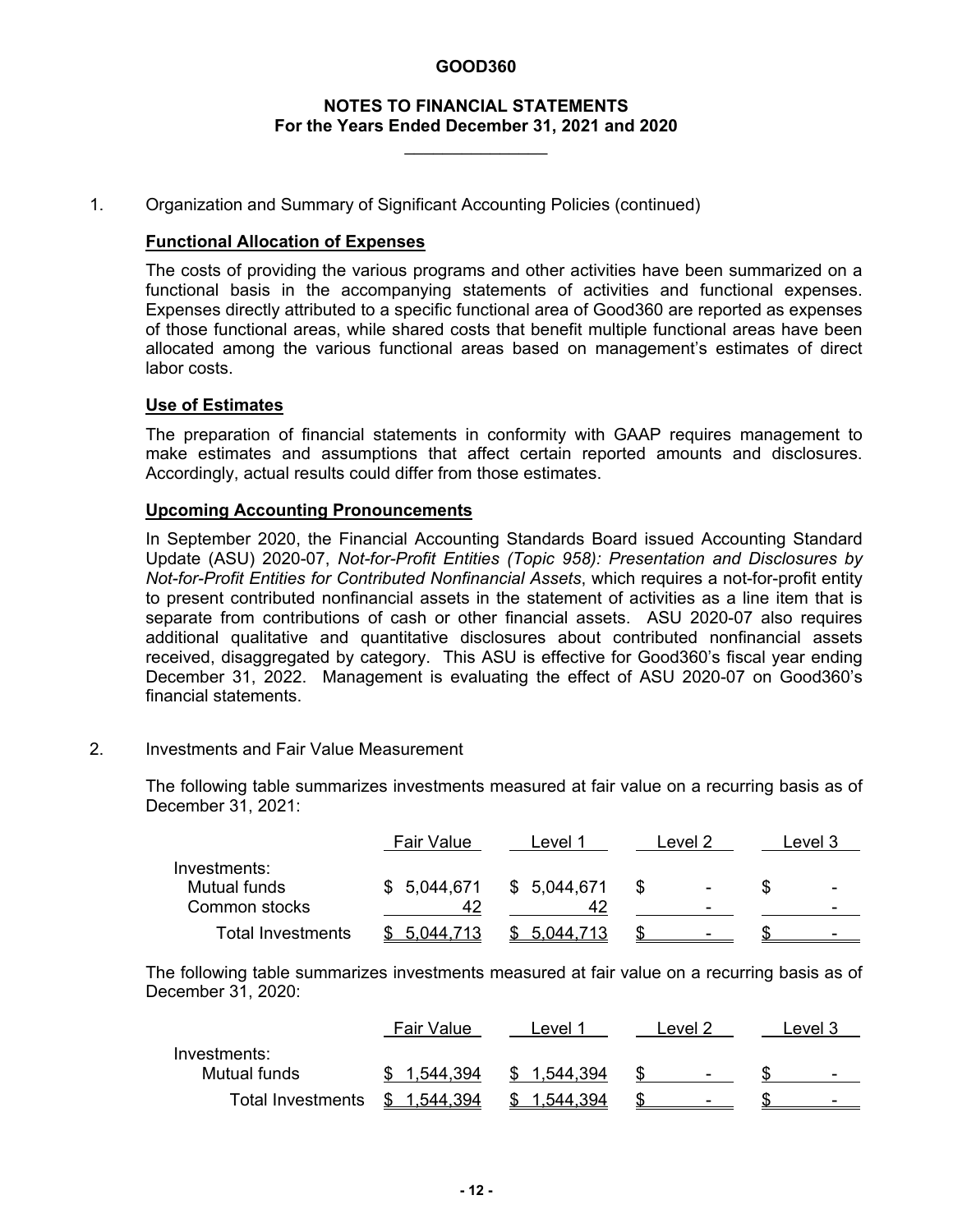# **NOTES TO FINANCIAL STATEMENTS For the Years Ended December 31, 2021 and 2020**  $\frac{1}{2}$

1. Organization and Summary of Significant Accounting Policies (continued)

#### **Functional Allocation of Expenses**

The costs of providing the various programs and other activities have been summarized on a functional basis in the accompanying statements of activities and functional expenses. Expenses directly attributed to a specific functional area of Good360 are reported as expenses of those functional areas, while shared costs that benefit multiple functional areas have been allocated among the various functional areas based on management's estimates of direct labor costs.

#### **Use of Estimates**

The preparation of financial statements in conformity with GAAP requires management to make estimates and assumptions that affect certain reported amounts and disclosures. Accordingly, actual results could differ from those estimates.

#### **Upcoming Accounting Pronouncements**

In September 2020, the Financial Accounting Standards Board issued Accounting Standard Update (ASU) 2020-07, *Not-for-Profit Entities (Topic 958): Presentation and Disclosures by Not-for-Profit Entities for Contributed Nonfinancial Assets*, which requires a not-for-profit entity to present contributed nonfinancial assets in the statement of activities as a line item that is separate from contributions of cash or other financial assets. ASU 2020-07 also requires additional qualitative and quantitative disclosures about contributed nonfinancial assets received, disaggregated by category. This ASU is effective for Good360's fiscal year ending December 31, 2022. Management is evaluating the effect of ASU 2020-07 on Good360's financial statements.

#### 2. Investments and Fair Value Measurement

The following table summarizes investments measured at fair value on a recurring basis as of December 31, 2021:

|                          | Fair Value  | $L$ evel <sup>1</sup> | Level 2 | Level 3 |
|--------------------------|-------------|-----------------------|---------|---------|
| Investments:             |             |                       |         |         |
| Mutual funds             | \$5,044,671 | \$5,044,671           | ۰       | -       |
| Common stocks            | 42          | 42                    | -       |         |
| <b>Total Investments</b> | 5.044.7     | 5.044.1               |         |         |

The following table summarizes investments measured at fair value on a recurring basis as of December 31, 2020:

|                          | Fair Value  | $L$ evel $7$     | $Level$ 2 | _evel 3                  |
|--------------------------|-------------|------------------|-----------|--------------------------|
| Investments:             |             |                  |           |                          |
| Mutual funds             | .544.394    | 1 544 394<br>\$  | ۰         | $\overline{\phantom{a}}$ |
| <b>Total Investments</b> | \$1.544.394 | \$.<br>1.544.394 | ۰         | $\overline{\phantom{a}}$ |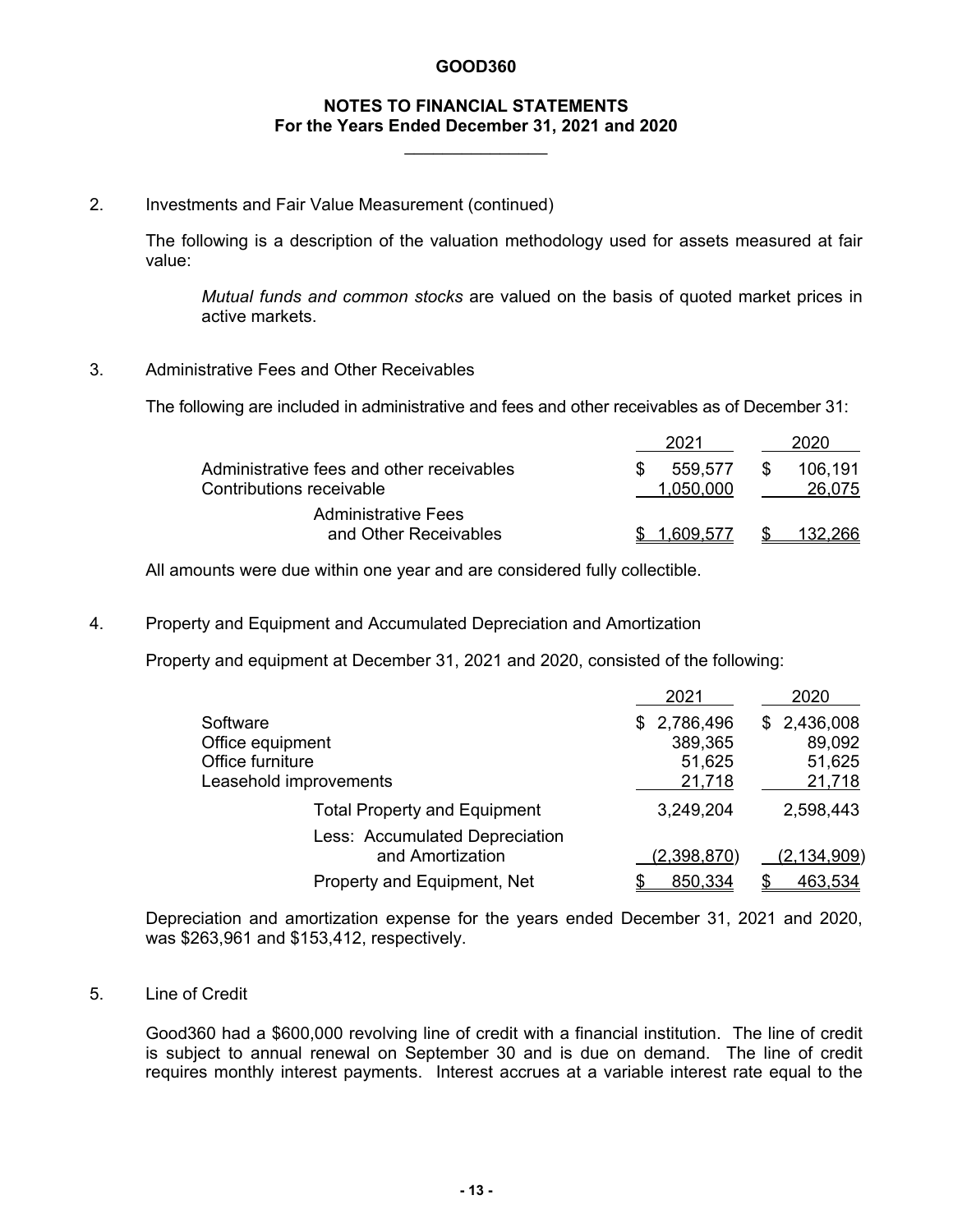# **NOTES TO FINANCIAL STATEMENTS For the Years Ended December 31, 2021 and 2020**  $\frac{1}{2}$

# 2. Investments and Fair Value Measurement (continued)

The following is a description of the valuation methodology used for assets measured at fair value:

*Mutual funds and common stocks* are valued on the basis of quoted market prices in active markets.

# 3. Administrative Fees and Other Receivables

The following are included in administrative and fees and other receivables as of December 31:

| Administrative fees and other receivables<br>Contributions receivable | 559.577<br>1.050.000 | 106.191<br>-96<br>26,075 |
|-----------------------------------------------------------------------|----------------------|--------------------------|
| <b>Administrative Fees</b><br>and Other Receivables                   | \$1.609.577          | 132.266                  |

All amounts were due within one year and are considered fully collectible.

# 4. Property and Equipment and Accumulated Depreciation and Amortization

Property and equipment at December 31, 2021 and 2020, consisted of the following:

|                                                    | 2021             | 2020          |
|----------------------------------------------------|------------------|---------------|
| Software                                           | 2,786,496<br>\$. | \$2,436,008   |
| Office equipment                                   | 389,365          | 89,092        |
| Office furniture                                   | 51,625           | 51,625        |
| Leasehold improvements                             | 21,718           | 21,718        |
| <b>Total Property and Equipment</b>                | 3,249,204        | 2,598,443     |
| Less: Accumulated Depreciation<br>and Amortization | (2,398,870)      | (2, 134, 909) |
| Property and Equipment, Net                        | 850,334          | 463,534       |

Depreciation and amortization expense for the years ended December 31, 2021 and 2020, was \$263,961 and \$153,412, respectively.

# 5. Line of Credit

Good360 had a \$600,000 revolving line of credit with a financial institution. The line of credit is subject to annual renewal on September 30 and is due on demand. The line of credit requires monthly interest payments. Interest accrues at a variable interest rate equal to the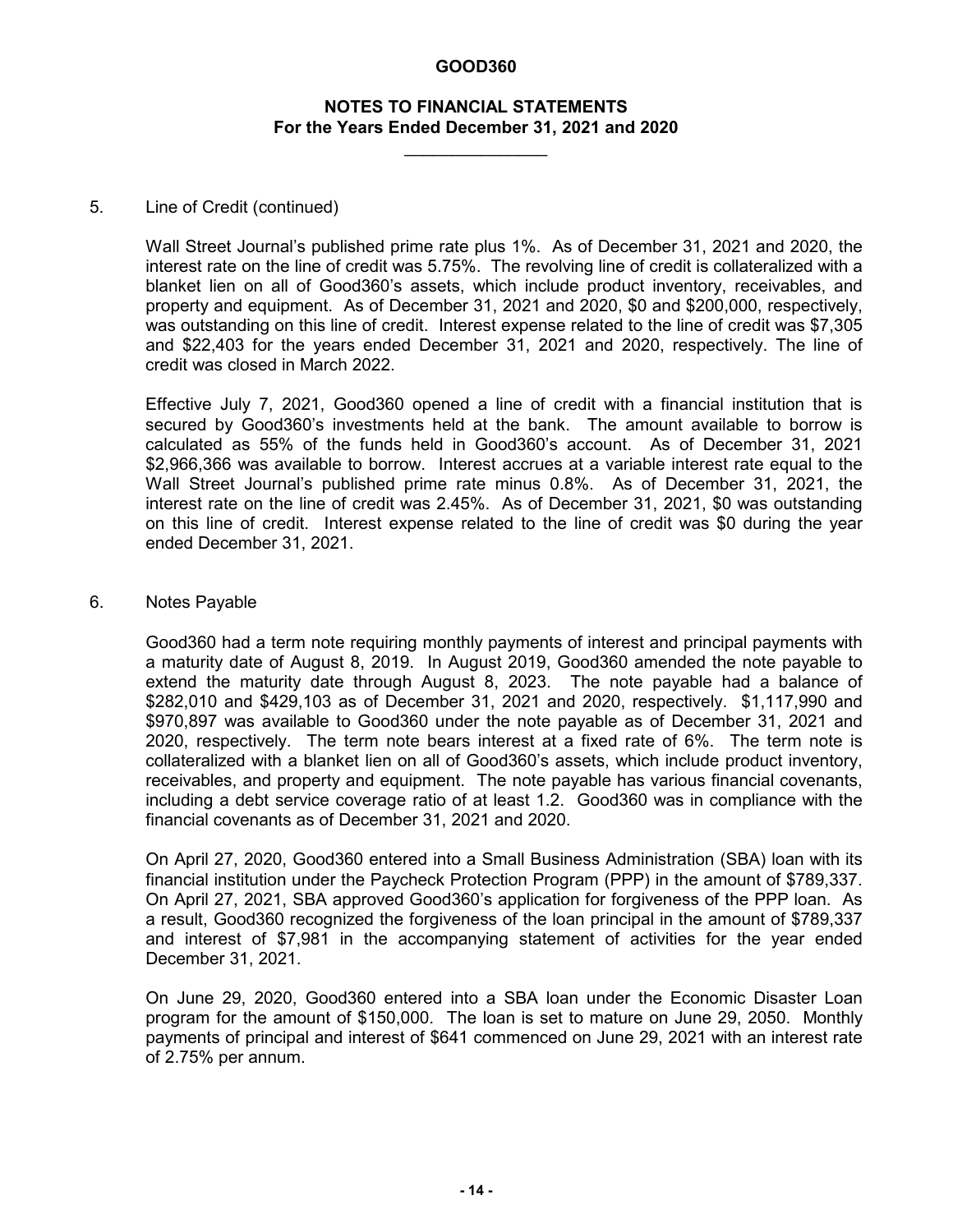# **NOTES TO FINANCIAL STATEMENTS For the Years Ended December 31, 2021 and 2020**

 $\overline{\phantom{a}}$  , where  $\overline{\phantom{a}}$ 

# 5. Line of Credit (continued)

Wall Street Journal's published prime rate plus 1%. As of December 31, 2021 and 2020, the interest rate on the line of credit was 5.75%. The revolving line of credit is collateralized with a blanket lien on all of Good360's assets, which include product inventory, receivables, and property and equipment. As of December 31, 2021 and 2020, \$0 and \$200,000, respectively, was outstanding on this line of credit. Interest expense related to the line of credit was \$7,305 and \$22,403 for the years ended December 31, 2021 and 2020, respectively. The line of credit was closed in March 2022.

Effective July 7, 2021, Good360 opened a line of credit with a financial institution that is secured by Good360's investments held at the bank. The amount available to borrow is calculated as 55% of the funds held in Good360's account. As of December 31, 2021 \$2,966,366 was available to borrow. Interest accrues at a variable interest rate equal to the Wall Street Journal's published prime rate minus 0.8%. As of December 31, 2021, the interest rate on the line of credit was 2.45%. As of December 31, 2021, \$0 was outstanding on this line of credit. Interest expense related to the line of credit was \$0 during the year ended December 31, 2021.

#### 6. Notes Payable

Good360 had a term note requiring monthly payments of interest and principal payments with a maturity date of August 8, 2019. In August 2019, Good360 amended the note payable to extend the maturity date through August 8, 2023. The note payable had a balance of \$282,010 and \$429,103 as of December 31, 2021 and 2020, respectively. \$1,117,990 and \$970,897 was available to Good360 under the note payable as of December 31, 2021 and 2020, respectively. The term note bears interest at a fixed rate of 6%. The term note is collateralized with a blanket lien on all of Good360's assets, which include product inventory, receivables, and property and equipment. The note payable has various financial covenants, including a debt service coverage ratio of at least 1.2. Good360 was in compliance with the financial covenants as of December 31, 2021 and 2020.

On April 27, 2020, Good360 entered into a Small Business Administration (SBA) loan with its financial institution under the Paycheck Protection Program (PPP) in the amount of \$789,337. On April 27, 2021, SBA approved Good360's application for forgiveness of the PPP loan. As a result, Good360 recognized the forgiveness of the loan principal in the amount of \$789,337 and interest of \$7,981 in the accompanying statement of activities for the year ended December 31, 2021.

On June 29, 2020, Good360 entered into a SBA loan under the Economic Disaster Loan program for the amount of \$150,000. The loan is set to mature on June 29, 2050. Monthly payments of principal and interest of \$641 commenced on June 29, 2021 with an interest rate of 2.75% per annum.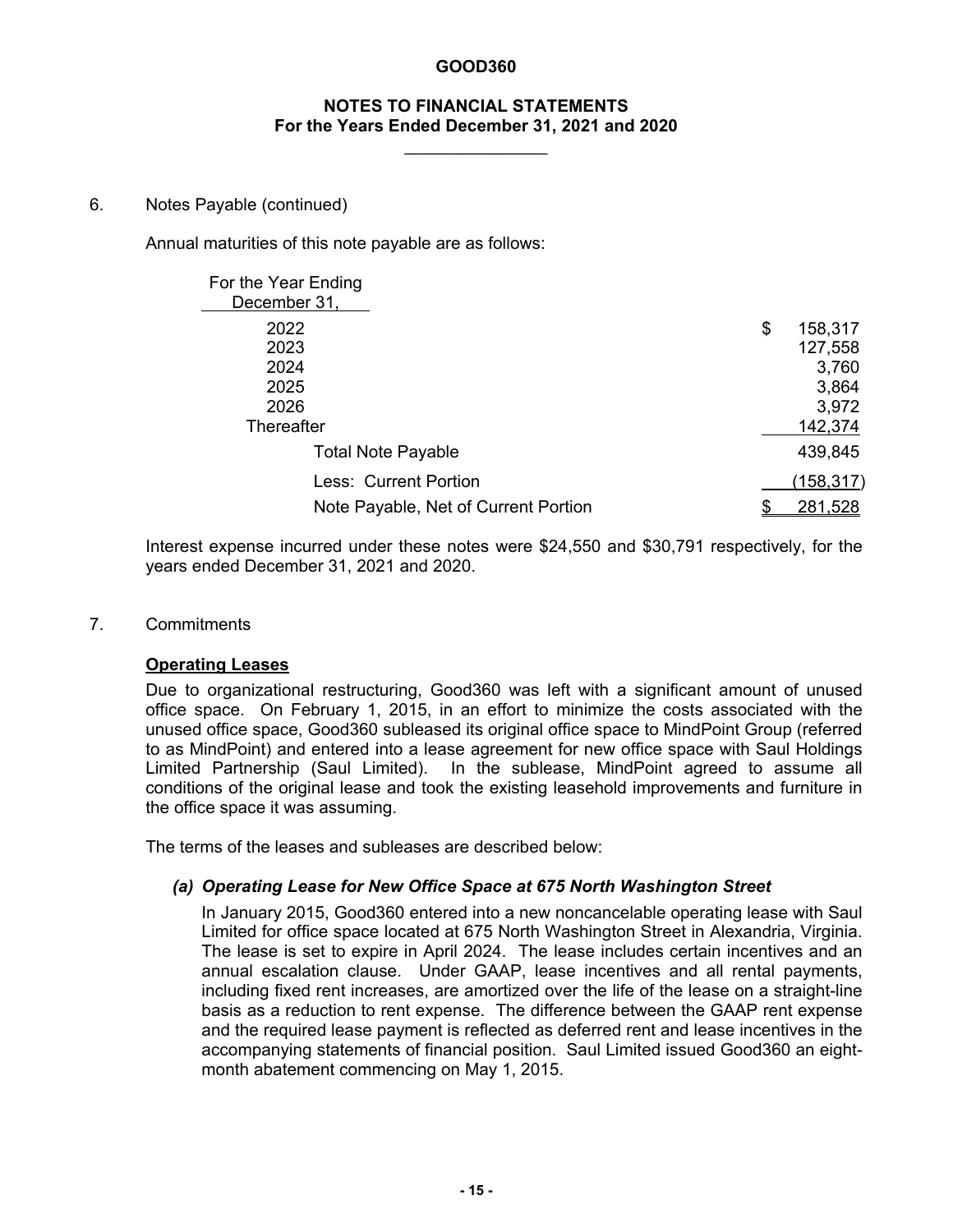# **NOTES TO FINANCIAL STATEMENTS For the Years Ended December 31, 2021 and 2020**  $\frac{1}{2}$

6. Notes Payable (continued)

Annual maturities of this note payable are as follows:

| For the Year Ending |                                      |                  |
|---------------------|--------------------------------------|------------------|
| December 31,        |                                      |                  |
| 2022                |                                      | \$<br>158,317    |
| 2023                |                                      | 127,558          |
| 2024                |                                      | 3,760            |
| 2025                |                                      | 3,864            |
| 2026                |                                      | 3,972            |
| <b>Thereafter</b>   |                                      | 142,374          |
|                     | <b>Total Note Payable</b>            | 439,845          |
|                     | Less: Current Portion                | <u>(158,317)</u> |
|                     | Note Payable, Net of Current Portion | 281,528          |

Interest expense incurred under these notes were \$24,550 and \$30,791 respectively, for the years ended December 31, 2021 and 2020.

#### 7. Commitments

#### **Operating Leases**

Due to organizational restructuring, Good360 was left with a significant amount of unused office space. On February 1, 2015, in an effort to minimize the costs associated with the unused office space, Good360 subleased its original office space to MindPoint Group (referred to as MindPoint) and entered into a lease agreement for new office space with Saul Holdings Limited Partnership (Saul Limited). In the sublease, MindPoint agreed to assume all conditions of the original lease and took the existing leasehold improvements and furniture in the office space it was assuming.

The terms of the leases and subleases are described below:

#### *(a) Operating Lease for New Office Space at 675 North Washington Street*

In January 2015, Good360 entered into a new noncancelable operating lease with Saul Limited for office space located at 675 North Washington Street in Alexandria, Virginia. The lease is set to expire in April 2024. The lease includes certain incentives and an annual escalation clause. Under GAAP, lease incentives and all rental payments, including fixed rent increases, are amortized over the life of the lease on a straight-line basis as a reduction to rent expense. The difference between the GAAP rent expense and the required lease payment is reflected as deferred rent and lease incentives in the accompanying statements of financial position. Saul Limited issued Good360 an eightmonth abatement commencing on May 1, 2015.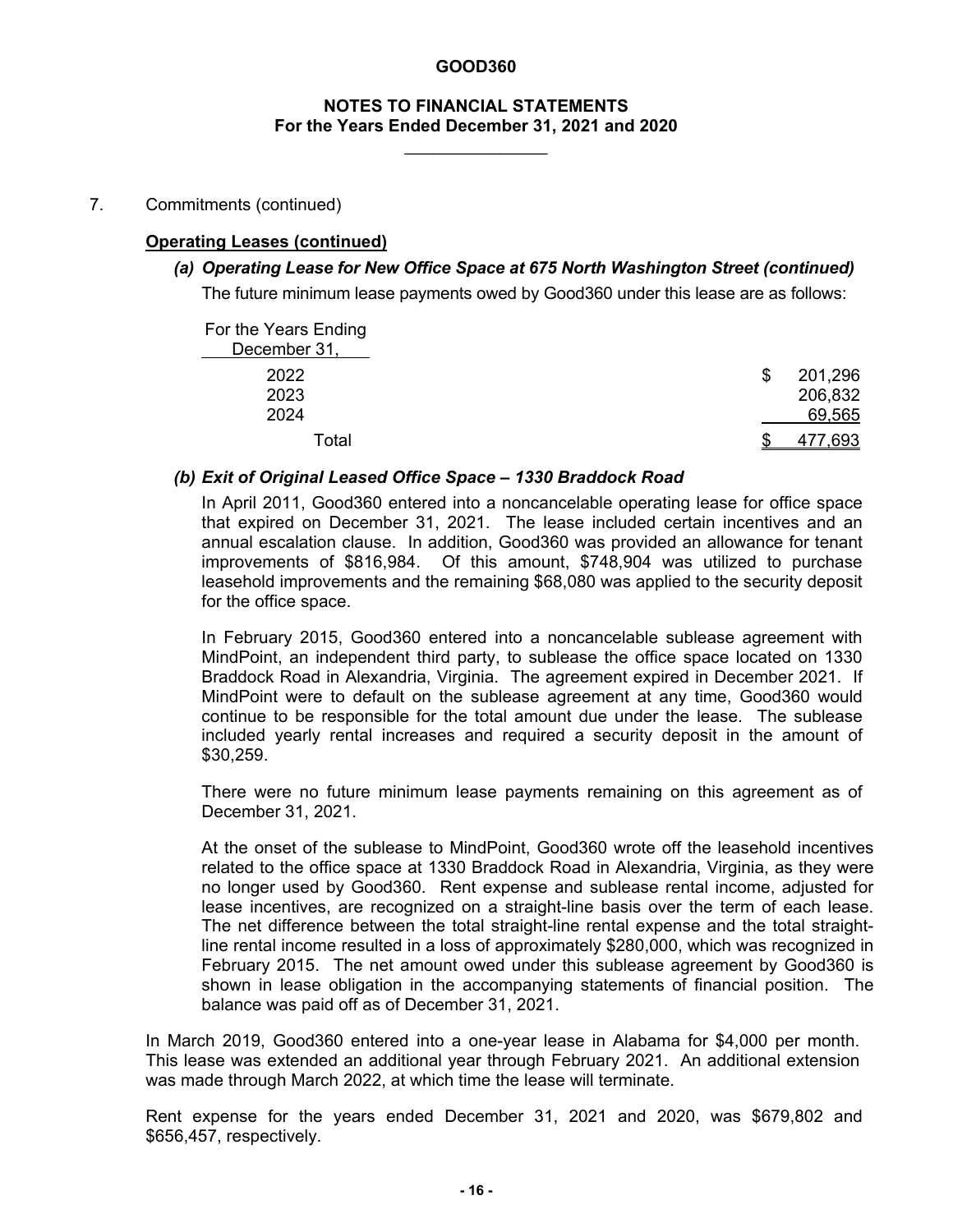# **NOTES TO FINANCIAL STATEMENTS For the Years Ended December 31, 2021 and 2020**  $\frac{1}{2}$

#### 7. Commitments (continued)

#### **Operating Leases (continued)**

# *(a) Operating Lease for New Office Space at 675 North Washington Street (continued)*

The future minimum lease payments owed by Good360 under this lease are as follows:

| For the Years Ending<br>December 31. |   |         |
|--------------------------------------|---|---------|
|                                      |   |         |
| 2022                                 | S | 201,296 |
| 2023                                 |   | 206,832 |
| 2024                                 |   | 69,565  |
| Total                                |   | 7.693.  |

#### *(b) Exit of Original Leased Office Space – 1330 Braddock Road*

In April 2011, Good360 entered into a noncancelable operating lease for office space that expired on December 31, 2021. The lease included certain incentives and an annual escalation clause. In addition, Good360 was provided an allowance for tenant improvements of \$816,984. Of this amount, \$748,904 was utilized to purchase leasehold improvements and the remaining \$68,080 was applied to the security deposit for the office space.

In February 2015, Good360 entered into a noncancelable sublease agreement with MindPoint, an independent third party, to sublease the office space located on 1330 Braddock Road in Alexandria, Virginia. The agreement expired in December 2021. If MindPoint were to default on the sublease agreement at any time, Good360 would continue to be responsible for the total amount due under the lease. The sublease included yearly rental increases and required a security deposit in the amount of \$30,259.

There were no future minimum lease payments remaining on this agreement as of December 31, 2021.

At the onset of the sublease to MindPoint, Good360 wrote off the leasehold incentives related to the office space at 1330 Braddock Road in Alexandria, Virginia, as they were no longer used by Good360. Rent expense and sublease rental income, adjusted for lease incentives, are recognized on a straight-line basis over the term of each lease. The net difference between the total straight-line rental expense and the total straightline rental income resulted in a loss of approximately \$280,000, which was recognized in February 2015. The net amount owed under this sublease agreement by Good360 is shown in lease obligation in the accompanying statements of financial position. The balance was paid off as of December 31, 2021.

In March 2019, Good360 entered into a one-year lease in Alabama for \$4,000 per month. This lease was extended an additional year through February 2021. An additional extension was made through March 2022, at which time the lease will terminate.

Rent expense for the years ended December 31, 2021 and 2020, was \$679,802 and \$656,457, respectively.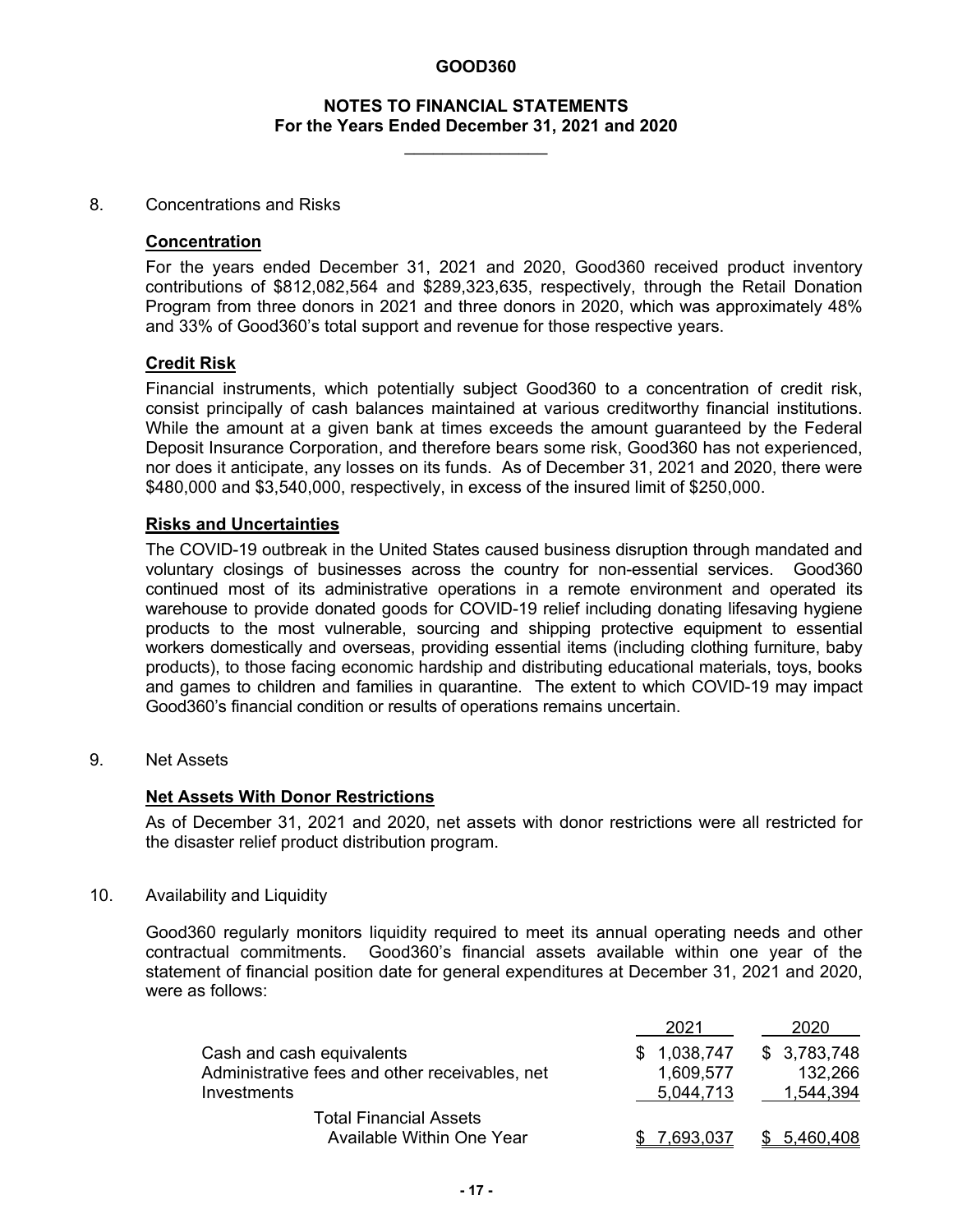# **NOTES TO FINANCIAL STATEMENTS For the Years Ended December 31, 2021 and 2020**

 $\frac{1}{2}$ 

#### 8. Concentrations and Risks

#### **Concentration**

For the years ended December 31, 2021 and 2020, Good360 received product inventory contributions of \$812,082,564 and \$289,323,635, respectively, through the Retail Donation Program from three donors in 2021 and three donors in 2020, which was approximately 48% and 33% of Good360's total support and revenue for those respective years.

#### **Credit Risk**

Financial instruments, which potentially subject Good360 to a concentration of credit risk, consist principally of cash balances maintained at various creditworthy financial institutions. While the amount at a given bank at times exceeds the amount guaranteed by the Federal Deposit Insurance Corporation, and therefore bears some risk, Good360 has not experienced, nor does it anticipate, any losses on its funds. As of December 31, 2021 and 2020, there were \$480,000 and \$3,540,000, respectively, in excess of the insured limit of \$250,000.

#### **Risks and Uncertainties**

The COVID-19 outbreak in the United States caused business disruption through mandated and voluntary closings of businesses across the country for non-essential services. Good360 continued most of its administrative operations in a remote environment and operated its warehouse to provide donated goods for COVID-19 relief including donating lifesaving hygiene products to the most vulnerable, sourcing and shipping protective equipment to essential workers domestically and overseas, providing essential items (including clothing furniture, baby products), to those facing economic hardship and distributing educational materials, toys, books and games to children and families in quarantine. The extent to which COVID-19 may impact Good360's financial condition or results of operations remains uncertain.

9. Net Assets

#### **Net Assets With Donor Restrictions**

As of December 31, 2021 and 2020, net assets with donor restrictions were all restricted for the disaster relief product distribution program.

#### 10. Availability and Liquidity

Good360 regularly monitors liquidity required to meet its annual operating needs and other contractual commitments. Good360's financial assets available within one year of the statement of financial position date for general expenditures at December 31, 2021 and 2020, were as follows:

|                                                | ∕ 202       | 2020         |
|------------------------------------------------|-------------|--------------|
| Cash and cash equivalents                      | \$1,038,747 | \$3,783,748  |
| Administrative fees and other receivables, net | 1,609,577   | 132,266      |
| Investments                                    | 5.044.713   | 1.544.394    |
| Total Financial Assets                         |             |              |
| Available Within One Year                      | \$7.693.037 | \$ 5.460.408 |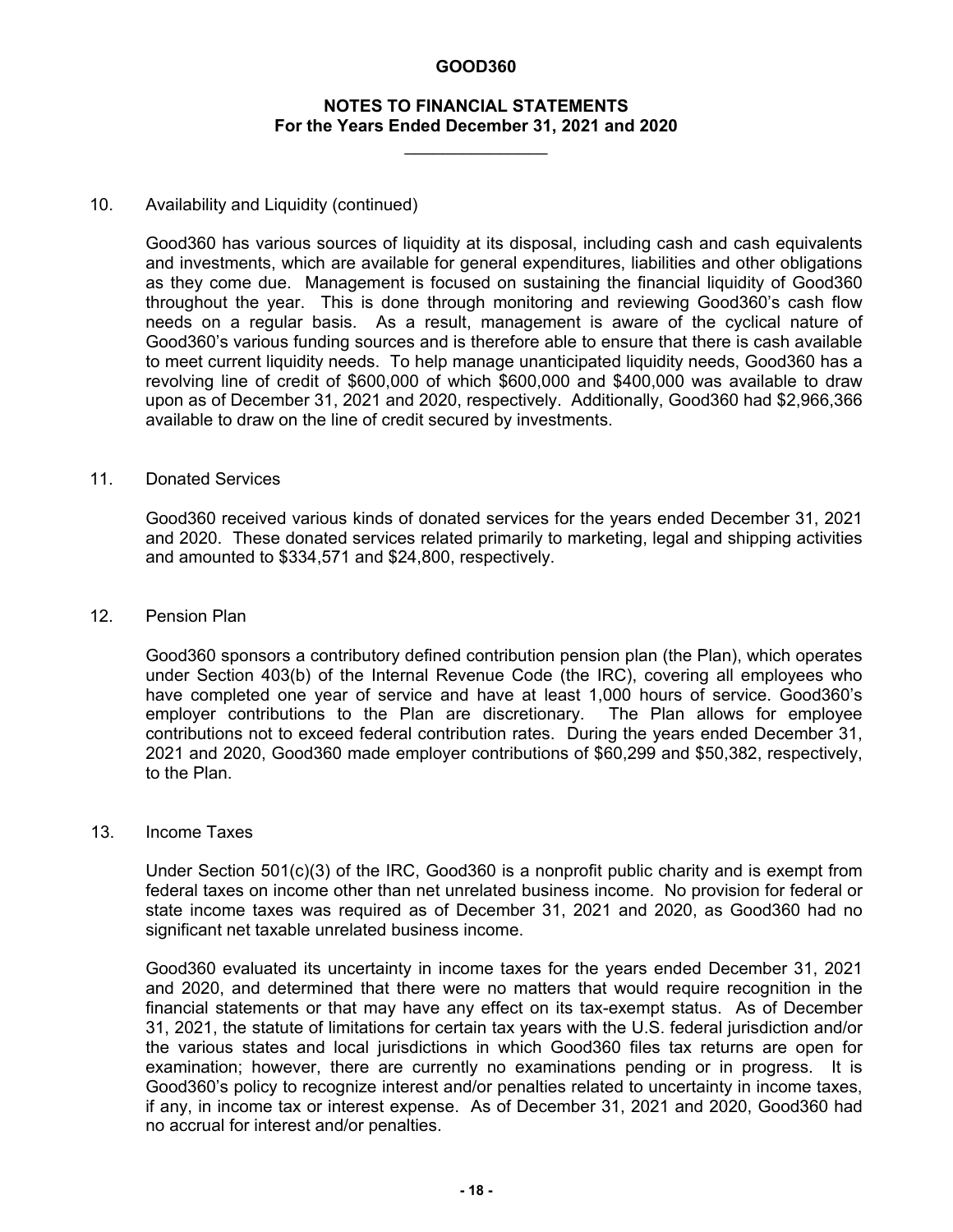# **NOTES TO FINANCIAL STATEMENTS For the Years Ended December 31, 2021 and 2020**  $\frac{1}{2}$

#### 10. Availability and Liquidity (continued)

Good360 has various sources of liquidity at its disposal, including cash and cash equivalents and investments, which are available for general expenditures, liabilities and other obligations as they come due. Management is focused on sustaining the financial liquidity of Good360 throughout the year. This is done through monitoring and reviewing Good360's cash flow needs on a regular basis. As a result, management is aware of the cyclical nature of Good360's various funding sources and is therefore able to ensure that there is cash available to meet current liquidity needs. To help manage unanticipated liquidity needs, Good360 has a revolving line of credit of \$600,000 of which \$600,000 and \$400,000 was available to draw upon as of December 31, 2021 and 2020, respectively. Additionally, Good360 had \$2,966,366 available to draw on the line of credit secured by investments.

#### 11. Donated Services

Good360 received various kinds of donated services for the years ended December 31, 2021 and 2020. These donated services related primarily to marketing, legal and shipping activities and amounted to \$334,571 and \$24,800, respectively.

#### 12. Pension Plan

Good360 sponsors a contributory defined contribution pension plan (the Plan), which operates under Section 403(b) of the Internal Revenue Code (the IRC), covering all employees who have completed one year of service and have at least 1,000 hours of service. Good360's employer contributions to the Plan are discretionary. The Plan allows for employee contributions not to exceed federal contribution rates. During the years ended December 31, 2021 and 2020, Good360 made employer contributions of \$60,299 and \$50,382, respectively, to the Plan.

#### 13. Income Taxes

Under Section 501(c)(3) of the IRC, Good360 is a nonprofit public charity and is exempt from federal taxes on income other than net unrelated business income. No provision for federal or state income taxes was required as of December 31, 2021 and 2020, as Good360 had no significant net taxable unrelated business income.

Good360 evaluated its uncertainty in income taxes for the years ended December 31, 2021 and 2020, and determined that there were no matters that would require recognition in the financial statements or that may have any effect on its tax-exempt status. As of December 31, 2021, the statute of limitations for certain tax years with the U.S. federal jurisdiction and/or the various states and local jurisdictions in which Good360 files tax returns are open for examination; however, there are currently no examinations pending or in progress. It is Good360's policy to recognize interest and/or penalties related to uncertainty in income taxes, if any, in income tax or interest expense. As of December 31, 2021 and 2020, Good360 had no accrual for interest and/or penalties.